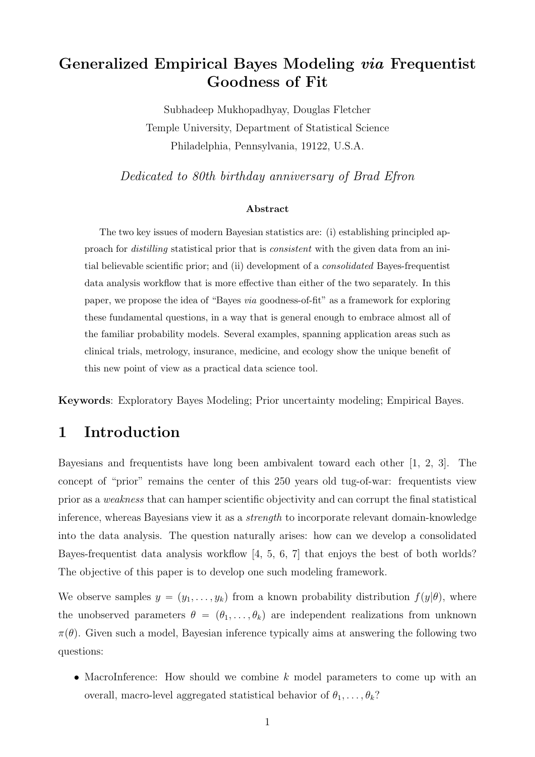# Generalized Empirical Bayes Modeling via Frequentist Goodness of Fit

Subhadeep Mukhopadhyay, Douglas Fletcher Temple University, Department of Statistical Science Philadelphia, Pennsylvania, 19122, U.S.A.

Dedicated to 80th birthday anniversary of Brad Efron

#### Abstract

The two key issues of modern Bayesian statistics are: (i) establishing principled approach for distilling statistical prior that is consistent with the given data from an initial believable scientific prior; and (ii) development of a consolidated Bayes-frequentist data analysis workflow that is more effective than either of the two separately. In this paper, we propose the idea of "Bayes via goodness-of-fit" as a framework for exploring these fundamental questions, in a way that is general enough to embrace almost all of the familiar probability models. Several examples, spanning application areas such as clinical trials, metrology, insurance, medicine, and ecology show the unique benefit of this new point of view as a practical data science tool.

Keywords: Exploratory Bayes Modeling; Prior uncertainty modeling; Empirical Bayes.

## 1 Introduction

Bayesians and frequentists have long been ambivalent toward each other [1, 2, 3]. The concept of "prior" remains the center of this 250 years old tug-of-war: frequentists view prior as a weakness that can hamper scientific objectivity and can corrupt the final statistical inference, whereas Bayesians view it as a strength to incorporate relevant domain-knowledge into the data analysis. The question naturally arises: how can we develop a consolidated Bayes-frequentist data analysis workflow [4, 5, 6, 7] that enjoys the best of both worlds? The objective of this paper is to develop one such modeling framework.

We observe samples  $y = (y_1, \ldots, y_k)$  from a known probability distribution  $f(y|\theta)$ , where the unobserved parameters  $\theta = (\theta_1, \ldots, \theta_k)$  are independent realizations from unknown  $\pi(\theta)$ . Given such a model, Bayesian inference typically aims at answering the following two questions:

• MacroInference: How should we combine k model parameters to come up with an overall, macro-level aggregated statistical behavior of  $\theta_1, \ldots, \theta_k$ ?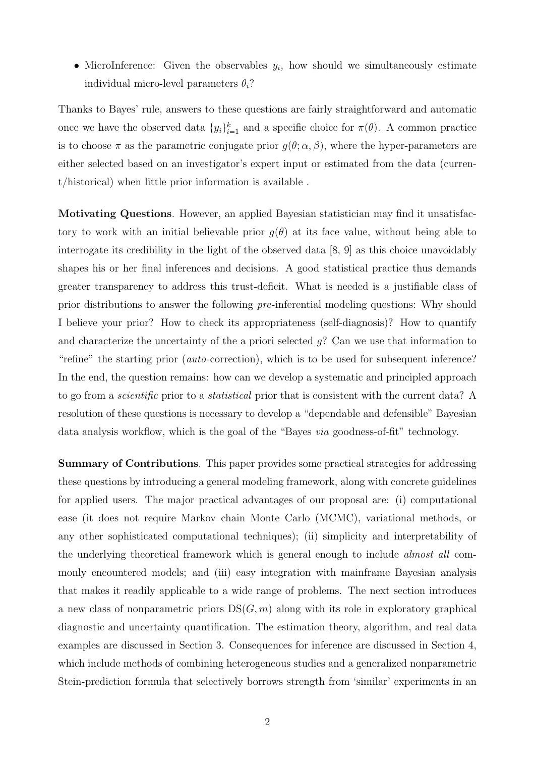• MicroInference: Given the observables  $y_i$ , how should we simultaneously estimate individual micro-level parameters  $\theta_i$ ?

Thanks to Bayes' rule, answers to these questions are fairly straightforward and automatic once we have the observed data  $\{y_i\}_{i=1}^k$  and a specific choice for  $\pi(\theta)$ . A common practice is to choose  $\pi$  as the parametric conjugate prior  $g(\theta; \alpha, \beta)$ , where the hyper-parameters are either selected based on an investigator's expert input or estimated from the data (current/historical) when little prior information is available .

Motivating Questions. However, an applied Bayesian statistician may find it unsatisfactory to work with an initial believable prior  $q(\theta)$  at its face value, without being able to interrogate its credibility in the light of the observed data [8, 9] as this choice unavoidably shapes his or her final inferences and decisions. A good statistical practice thus demands greater transparency to address this trust-deficit. What is needed is a justifiable class of prior distributions to answer the following pre-inferential modeling questions: Why should I believe your prior? How to check its appropriateness (self-diagnosis)? How to quantify and characterize the uncertainty of the a priori selected  $q$ ? Can we use that information to "refine" the starting prior (auto-correction), which is to be used for subsequent inference? In the end, the question remains: how can we develop a systematic and principled approach to go from a scientific prior to a statistical prior that is consistent with the current data? A resolution of these questions is necessary to develop a "dependable and defensible" Bayesian data analysis workflow, which is the goal of the "Bayes via goodness-of-fit" technology.

Summary of Contributions. This paper provides some practical strategies for addressing these questions by introducing a general modeling framework, along with concrete guidelines for applied users. The major practical advantages of our proposal are: (i) computational ease (it does not require Markov chain Monte Carlo (MCMC), variational methods, or any other sophisticated computational techniques); (ii) simplicity and interpretability of the underlying theoretical framework which is general enough to include *almost all* commonly encountered models; and (iii) easy integration with mainframe Bayesian analysis that makes it readily applicable to a wide range of problems. The next section introduces a new class of nonparametric priors  $DS(G, m)$  along with its role in exploratory graphical diagnostic and uncertainty quantification. The estimation theory, algorithm, and real data examples are discussed in Section 3. Consequences for inference are discussed in Section 4, which include methods of combining heterogeneous studies and a generalized nonparametric Stein-prediction formula that selectively borrows strength from 'similar' experiments in an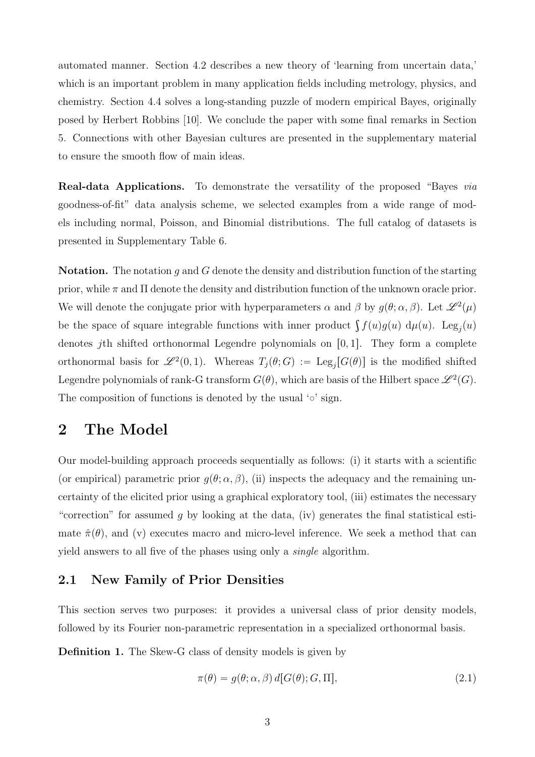automated manner. Section 4.2 describes a new theory of 'learning from uncertain data,' which is an important problem in many application fields including metrology, physics, and chemistry. Section 4.4 solves a long-standing puzzle of modern empirical Bayes, originally posed by Herbert Robbins [10]. We conclude the paper with some final remarks in Section 5. Connections with other Bayesian cultures are presented in the supplementary material to ensure the smooth flow of main ideas.

**Real-data Applications.** To demonstrate the versatility of the proposed "Bayes *via* goodness-of-fit" data analysis scheme, we selected examples from a wide range of models including normal, Poisson, and Binomial distributions. The full catalog of datasets is presented in Supplementary Table 6.

**Notation.** The notation q and G denote the density and distribution function of the starting prior, while  $\pi$  and  $\Pi$  denote the density and distribution function of the unknown oracle prior. We will denote the conjugate prior with hyperparameters  $\alpha$  and  $\beta$  by  $g(\theta; \alpha, \beta)$ . Let  $\mathscr{L}^2(\mu)$ be the space of square integrable functions with inner product  $\int f(u)g(u) d\mu(u)$ . Leg<sub>j</sub>(*u*) denotes *j*th shifted orthonormal Legendre polynomials on  $[0, 1]$ . They form a complete orthonormal basis for  $\mathscr{L}^2(0,1)$ . Whereas  $T_j(\theta;G) := \text{Leg}_j[G(\theta)]$  is the modified shifted Legendre polynomials of rank-G transform  $G(\theta)$ , which are basis of the Hilbert space  $\mathscr{L}^2(G)$ . The composition of functions is denoted by the usual  $\circ$  sign.

## 2 The Model

Our model-building approach proceeds sequentially as follows: (i) it starts with a scientific (or empirical) parametric prior  $g(\theta; \alpha, \beta)$ , (ii) inspects the adequacy and the remaining uncertainty of the elicited prior using a graphical exploratory tool, (iii) estimates the necessary "correction" for assumed g by looking at the data, (iv) generates the final statistical estimate  $\hat{\pi}(\theta)$ , and (v) executes macro and micro-level inference. We seek a method that can yield answers to all five of the phases using only a single algorithm.

### 2.1 New Family of Prior Densities

This section serves two purposes: it provides a universal class of prior density models, followed by its Fourier non-parametric representation in a specialized orthonormal basis.

Definition 1. The Skew-G class of density models is given by

$$
\pi(\theta) = g(\theta; \alpha, \beta) d[G(\theta); G, \Pi], \qquad (2.1)
$$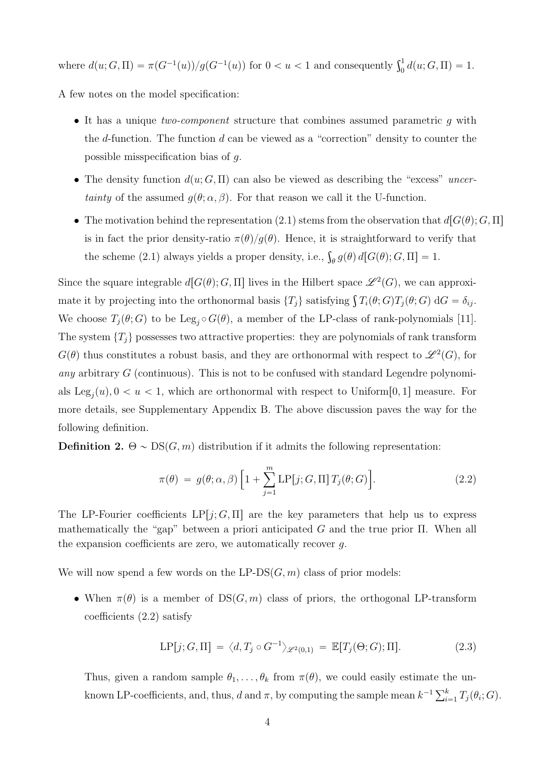where  $d(u; G, \Pi) = \pi(G^{-1}(u))/g(G^{-1}(u))$  for  $0 < u < 1$  and consequently  $\int_0^1 d(u; G, \Pi) = 1$ .

A few notes on the model specification:

- It has a unique *two-component* structure that combines assumed parametric q with the d-function. The function d can be viewed as a "correction" density to counter the possible misspecification bias of g.
- The density function  $d(u; G, \Pi)$  can also be viewed as describing the "excess" uncertainty of the assumed  $g(\theta; \alpha, \beta)$ . For that reason we call it the U-function.
- The motivation behind the representation (2.1) stems from the observation that  $d[G(\theta); G, \Pi]$ is in fact the prior density-ratio  $\pi(\theta)/g(\theta)$ . Hence, it is straightforward to verify that the scheme (2.1) always yields a proper density, i.e.,  $\int_{\theta} g(\theta) d[G(\theta); G, \Pi] = 1$ .

Since the square integrable  $d[G(\theta); G, \Pi]$  lives in the Hilbert space  $\mathscr{L}^2(G)$ , we can approximate it by projecting into the orthonormal basis  $\{T_j\}$  satisfying  $\int T_i(\theta; G) T_j(\theta; G) dG = \delta_{ij}$ . We choose  $T_j(\theta; G)$  to be Leg<sub>j</sub>  $\circ$   $G(\theta)$ , a member of the LP-class of rank-polynomials [11]. The system  $\{T_i\}$  possesses two attractive properties: they are polynomials of rank transform  $G(\theta)$  thus constitutes a robust basis, and they are orthonormal with respect to  $\mathscr{L}^2(G)$ , for any arbitrary  $G$  (continuous). This is not to be confused with standard Legendre polynomials  $\text{Leg}_j(u)$ ,  $0 < u < 1$ , which are orthonormal with respect to Uniform $[0, 1]$  measure. For more details, see Supplementary Appendix B. The above discussion paves the way for the following definition.

**Definition 2.**  $\Theta \sim DS(G, m)$  distribution if it admits the following representation:

$$
\pi(\theta) = g(\theta; \alpha, \beta) \left[ 1 + \sum_{j=1}^{m} \text{LP}[j; G, \Pi] T_j(\theta; G) \right]. \tag{2.2}
$$

The LP-Fourier coefficients  $LP[j; G, \Pi]$  are the key parameters that help us to express mathematically the "gap" between a priori anticipated G and the true prior  $\Pi$ . When all the expansion coefficients are zero, we automatically recover g.

We will now spend a few words on the  $LP-DS(G, m)$  class of prior models:

• When  $\pi(\theta)$  is a member of  $DS(G, m)$  class of priors, the orthogonal LP-transform coefficients (2.2) satisfy

$$
LP[j; G, \Pi] = \langle d, T_j \circ G^{-1} \rangle_{\mathscr{L}^2(0,1)} = \mathbb{E}[T_j(\Theta; G); \Pi]. \tag{2.3}
$$

Thus, given a random sample  $\theta_1, \ldots, \theta_k$  from  $\pi(\theta)$ , we could easily estimate the unknown LP-coefficients, and, thus, d and  $\pi$ , by computing the sample mean  $k^{-1} \sum_{i=1}^{k} T_j(\theta_i; G)$ .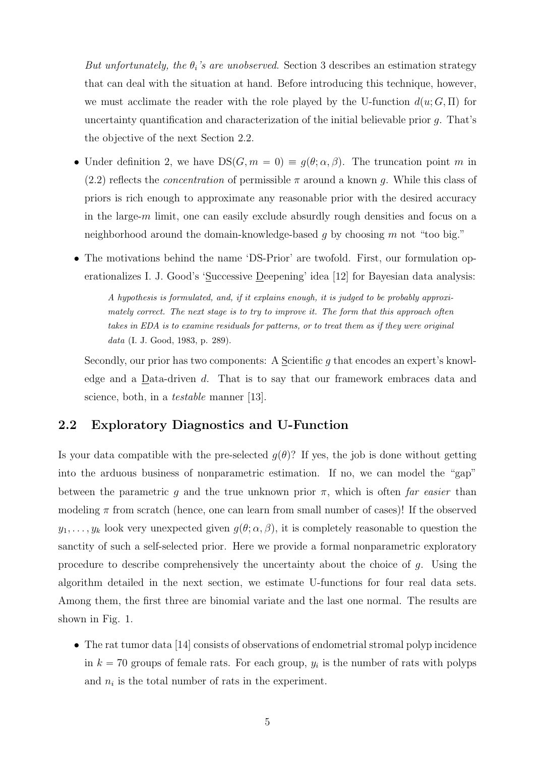But unfortunately, the  $\theta_i$ 's are unobserved. Section 3 describes an estimation strategy that can deal with the situation at hand. Before introducing this technique, however, we must acclimate the reader with the role played by the U-function  $d(u; G, \Pi)$  for uncertainty quantification and characterization of the initial believable prior  $q$ . That's the objective of the next Section 2.2.

- Under definition 2, we have  $DS(G, m = 0) \equiv q(\theta; \alpha, \beta)$ . The truncation point m in  $(2.2)$  reflects the *concentration* of permissible  $\pi$  around a known q. While this class of priors is rich enough to approximate any reasonable prior with the desired accuracy in the large- $m$  limit, one can easily exclude absurdly rough densities and focus on a neighborhood around the domain-knowledge-based q by choosing  $m$  not "too big."
- The motivations behind the name 'DS-Prior' are twofold. First, our formulation operationalizes I. J. Good's 'Successive Deepening' idea [12] for Bayesian data analysis:

A hypothesis is formulated, and, if it explains enough, it is judged to be probably approximately correct. The next stage is to try to improve it. The form that this approach often takes in EDA is to examine residuals for patterns, or to treat them as if they were original data (I. J. Good, 1983, p. 289).

Secondly, our prior has two components: A Scientific  $q$  that encodes an expert's knowledge and a Data-driven d. That is to say that our framework embraces data and science, both, in a *testable* manner [13].

### 2.2 Exploratory Diagnostics and U-Function

Is your data compatible with the pre-selected  $g(\theta)$ ? If yes, the job is done without getting into the arduous business of nonparametric estimation. If no, we can model the "gap" between the parametric g and the true unknown prior  $\pi$ , which is often far easier than modeling  $\pi$  from scratch (hence, one can learn from small number of cases)! If the observed  $y_1, \ldots, y_k$  look very unexpected given  $g(\theta; \alpha, \beta)$ , it is completely reasonable to question the sanctity of such a self-selected prior. Here we provide a formal nonparametric exploratory procedure to describe comprehensively the uncertainty about the choice of g. Using the algorithm detailed in the next section, we estimate U-functions for four real data sets. Among them, the first three are binomial variate and the last one normal. The results are shown in Fig. 1.

• The rat tumor data [14] consists of observations of endometrial stromal polyp incidence in  $k = 70$  groups of female rats. For each group,  $y_i$  is the number of rats with polyps and  $n_i$  is the total number of rats in the experiment.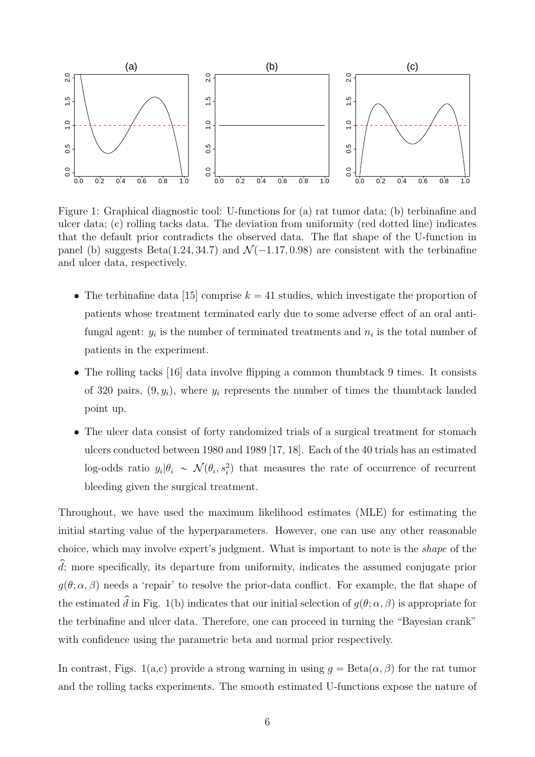

Figure 1: Graphical diagnostic tool: U-functions for (a) rat tumor data; (b) terbinafine and ulcer data; (c) rolling tacks data. The deviation from uniformity (red dotted line) indicates that the default prior contradicts the observed data. The flat shape of the U-function in panel (b) suggests Beta(1.24, 34.7) and  $\mathcal{N}(-1.17, 0.98)$  are consistent with the terbinafine and ulcer data, respectively.

- The terbinafine data [15] comprise  $k = 41$  studies, which investigate the proportion of patients whose treatment terminated early due to some adverse effect of an oral antifungal agent:  $y_i$  is the number of terminated treatments and  $n_i$  is the total number of patients in the experiment.
- The rolling tacks [16] data involve flipping a common thumbtack 9 times. It consists of 320 pairs,  $(9, y_i)$ , where  $y_i$  represents the number of times the thumbtack landed point up.
- The ulcer data consist of forty randomized trials of a surgical treatment for stomach ulcers conducted between 1980 and 1989 [17, 18]. Each of the 40 trials has an estimated log-odds ratio  $y_i | \theta_i \sim \mathcal{N}(\theta_i, s_i^2)$  that measures the rate of occurrence of recurrent bleeding given the surgical treatment.

Throughout, we have used the maximum likelihood estimates (MLE) for estimating the initial starting value of the hyperparameters. However, one can use any other reasonable choice, which may involve expert's judgment. What is important to note is the shape of the  $\hat{d}$ ; more specifically, its departure from uniformity, indicates the assumed conjugate prior  $g(\theta; \alpha, \beta)$  needs a 'repair' to resolve the prior-data conflict. For example, the flat shape of the estimated  $\hat{d}$  in Fig. 1(b) indicates that our initial selection of  $g(\theta; \alpha, \beta)$  is appropriate for the terbinafine and ulcer data. Therefore, one can proceed in turning the "Bayesian crank" with confidence using the parametric beta and normal prior respectively.

In contrast, Figs. 1(a,c) provide a strong warning in using  $g = \text{Beta}(\alpha, \beta)$  for the rat tumor and the rolling tacks experiments. The smooth estimated U-functions expose the nature of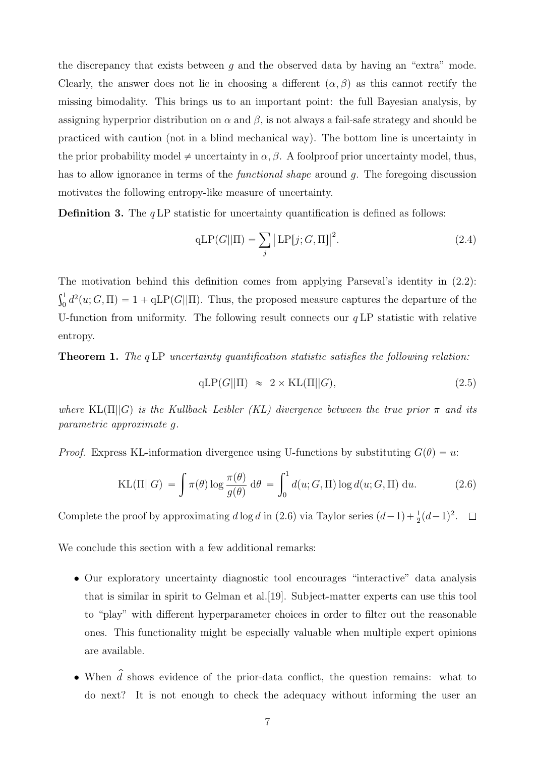the discrepancy that exists between  $q$  and the observed data by having an "extra" mode. Clearly, the answer does not lie in choosing a different  $(\alpha, \beta)$  as this cannot rectify the missing bimodality. This brings us to an important point: the full Bayesian analysis, by assigning hyperprior distribution on  $\alpha$  and  $\beta$ , is not always a fail-safe strategy and should be practiced with caution (not in a blind mechanical way). The bottom line is uncertainty in the prior probability model  $\neq$  uncertainty in  $\alpha$ ,  $\beta$ . A foolproof prior uncertainty model, thus, has to allow ignorance in terms of the *functional shape* around g. The foregoing discussion motivates the following entropy-like measure of uncertainty.

**Definition 3.** The  $q \text{LP}$  statistic for uncertainty quantification is defined as follows:

$$
qLP(G||\Pi) = \sum_{j} |LP[j; G, \Pi]|^{2}.
$$
 (2.4)

The motivation behind this definition comes from applying Parseval's identity in (2.2):  $\frac{1}{10}$  $\frac{1}{2}d^2(u; G, \Pi) = 1 + qLP(G||\Pi)$ . Thus, the proposed measure captures the departure of the U-function from uniformity. The following result connects our  $q L$ P statistic with relative entropy.

Theorem 1. The q LP uncertainty quantification statistic satisfies the following relation:

$$
qLP(G||\Pi) \approx 2 \times KL(\Pi||G), \tag{2.5}
$$

where KL $\Pi||G$  is the Kullback–Leibler (KL) divergence between the true prior  $\pi$  and its parametric approximate g.

*Proof.* Express KL-information divergence using U-functions by substituting  $G(\theta) = u$ :

$$
KL(\Pi||G) = \int \pi(\theta) \log \frac{\pi(\theta)}{g(\theta)} d\theta = \int_0^1 d(u; G, \Pi) \log d(u; G, \Pi) du.
$$
 (2.6)

Complete the proof by approximating  $d \log d$  in (2.6) via Taylor series  $(d-1) + \frac{1}{2}(d-1)^2$ .

We conclude this section with a few additional remarks:

- Our exploratory uncertainty diagnostic tool encourages "interactive" data analysis that is similar in spirit to Gelman et al.[19]. Subject-matter experts can use this tool to "play" with different hyperparameter choices in order to filter out the reasonable ones. This functionality might be especially valuable when multiple expert opinions are available.
- When  $\hat{d}$  shows evidence of the prior-data conflict, the question remains: what to do next? It is not enough to check the adequacy without informing the user an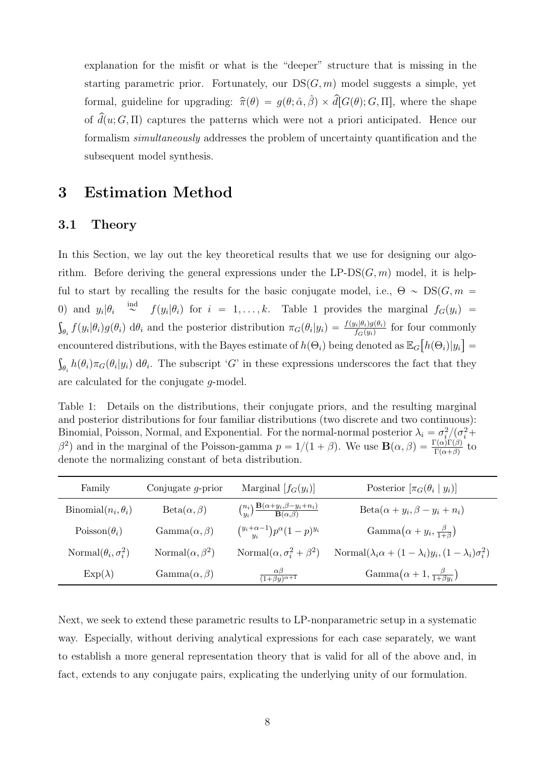explanation for the misfit or what is the "deeper" structure that is missing in the starting parametric prior. Fortunately, our  $DS(G, m)$  model suggests a simple, yet formal, guideline for upgrading:  $\hat{\pi}(\theta) = g(\theta; \hat{\alpha}, \hat{\beta}) \times \hat{d}[G(\theta); G, \Pi]$ , where the shape of  $\hat{d}(u; G, \Pi)$  captures the patterns which were not a priori anticipated. Hence our formalism simultaneously addresses the problem of uncertainty quantification and the subsequent model synthesis.

# 3 Estimation Method

### 3.1 Theory

In this Section, we lay out the key theoretical results that we use for designing our algorithm. Before deriving the general expressions under the LP-DS $(G, m)$  model, it is helpful to start by recalling the results for the basic conjugate model, i.e.,  $\Theta \sim DS(G, m =$ 0) and  $y_i|\theta_i$  $\hat{\sigma}$   $f(y_i|\theta_i)$  for  $i = 1, ..., k$ . Table 1 provides the marginal  $f_G(y_i)$  = ş  $\theta_i$   $f(y_i|\theta_i)g(\theta_i) d\theta_i$  and the posterior distribution  $\pi_G(\theta_i|y_i) = \frac{f(y_i|\theta_i)g(\theta_i)}{f_G(y_i)}$  for four commonly encountered distributions, with the Bayes estimate of  $h(\Theta_i)$  being denoted as  $\mathbb{E}_G[h(\Theta_i)|y_i] =$  $\theta_i$   $h(\theta_i)\pi_G(\theta_i|y_i)$  d $\theta_i$ . The subscript 'G' in these expressions underscores the fact that they are calculated for the conjugate g-model.

Table 1: Details on the distributions, their conjugate priors, and the resulting marginal and posterior distributions for four familiar distributions (two discrete and two continuous): Binomial, Poisson, Normal, and Exponential. For the normal-normal posterior  $\lambda_i = \sigma_i^2/(\sigma_i^2 + \sigma_i^2)$ β<sup>2</sup>) and in the marginal of the Poisson-gamma  $p = 1/(1 + \beta)$ . We use **B**( $\alpha, \beta$ ) =  $\frac{\Gamma(\alpha)\Gamma(\beta)}{\Gamma(\alpha+\beta)}$  to denote the normalizing constant of beta distribution.

| Family                          | Conjugate $g$ -prior          | Marginal $[f_G(y_i)]$                                                                    | Posterior $[\pi_G(\theta_i \mid y_i)]$                                      |
|---------------------------------|-------------------------------|------------------------------------------------------------------------------------------|-----------------------------------------------------------------------------|
| $Binomial(n_i, \theta_i)$       | $Beta(\alpha, \beta)$         | $\binom{n_i}{y_i} \frac{\mathbf{B}(\alpha+y_i,\beta-y_i+n_i)}{\mathbf{B}(\alpha,\beta)}$ | $Beta(\alpha + y_i, \beta - y_i + n_i)$                                     |
| Poisson $(\theta_i)$            | $\text{Gamma}(\alpha, \beta)$ | $\binom{y_i+\alpha-1}{y_i}p^{\alpha}(1-p)^{y_i}$                                         | Gamma $\left(\alpha+y_i,\frac{\beta}{1+\beta}\right)$                       |
| Normal $(\theta_i, \sigma_i^2)$ | Normal $(\alpha, \beta^2)$    | Normal $(\alpha, \sigma_i^2 + \beta^2)$                                                  | Normal $(\lambda_i \alpha + (1 - \lambda_i)y_i, (1 - \lambda_i)\sigma_i^2)$ |
| $Exp(\lambda)$                  | $\text{Gamma}(\alpha, \beta)$ | $\frac{\alpha\beta}{(1+\beta y)^{\alpha+1}}$                                             | Gamma $\left(\alpha+1,\frac{\beta}{1+\beta y_i}\right)$                     |

Next, we seek to extend these parametric results to LP-nonparametric setup in a systematic way. Especially, without deriving analytical expressions for each case separately, we want to establish a more general representation theory that is valid for all of the above and, in fact, extends to any conjugate pairs, explicating the underlying unity of our formulation.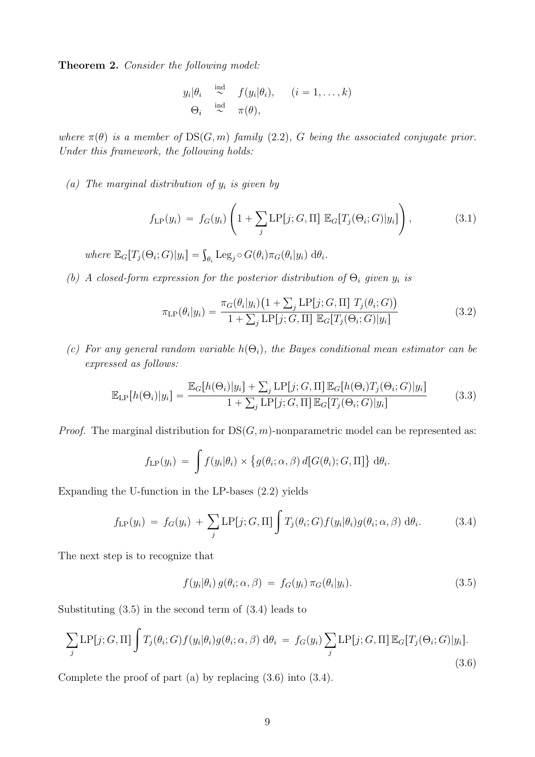Theorem 2. Consider the following model:

$$
y_i|\theta_i \stackrel{\text{ind}}{\sim} f(y_i|\theta_i), \quad (i = 1, \dots, k)
$$
  

$$
\Theta_i \stackrel{\text{ind}}{\sim} \pi(\theta),
$$

where  $\pi(\theta)$  is a member of  $DS(G, m)$  family (2.2), G being the associated conjugate prior. Under this framework, the following holds:

(a) The marginal distribution of  $y_i$  is given by

$$
f_{\text{LP}}(y_i) = f_G(y_i) \left( 1 + \sum_j \text{LP}[j; G, \Pi] \ \mathbb{E}_G[T_j(\Theta_i; G)|y_i] \right), \tag{3.1}
$$

į,

where  $\mathbb{E}_G[T_j(\Theta_i; G)|y_i] = \int_{\theta_i} \text{Leg}_j \circ G(\theta_i) \pi_G(\theta_i|y_i) d\theta_i$ .

(b) A closed-form expression for the posterior distribution of  $\Theta_i$  given  $y_i$  is

 $\mathbb{R}^2$ 

$$
\pi_{\text{LP}}(\theta_i|y_i) = \frac{\pi_G(\theta_i|y_i) \left(1 + \sum_j \text{LP}[j; G, \Pi] \ T_j(\theta_i; G)\right)}{1 + \sum_j \text{LP}[j; G, \Pi] \ \mathbb{E}_G[T_j(\Theta_i; G)|y_i]}
$$
(3.2)

(c) For any general random variable  $h(\Theta_i)$ , the Bayes conditional mean estimator can be expressed as follows:

$$
\mathbb{E}_{\text{LP}}[h(\Theta_i)|y_i] = \frac{\mathbb{E}_G[h(\Theta_i)|y_i] + \sum_j \text{LP}[j; G, \Pi] \mathbb{E}_G[h(\Theta_i)T_j(\Theta_i; G)|y_i]}{1 + \sum_j \text{LP}[j; G, \Pi] \mathbb{E}_G[T_j(\Theta_i; G)|y_i]}
$$
(3.3)

*Proof.* The marginal distribution for  $DS(G, m)$ -nonparametric model can be represented as:

$$
f_{\text{LP}}(y_i) = \int f(y_i|\theta_i) \times \{g(\theta_i; \alpha, \beta) d[G(\theta_i); G, \Pi]\} d\theta_i.
$$

Expanding the U-function in the LP-bases (2.2) yields

$$
f_{\text{LP}}(y_i) = f_G(y_i) + \sum_j \text{LP}[j; G, \Pi] \int T_j(\theta_i; G) f(y_i | \theta_i) g(\theta_i; \alpha, \beta) d\theta_i.
$$
 (3.4)

The next step is to recognize that

$$
f(y_i|\theta_i) g(\theta_i; \alpha, \beta) = f_G(y_i) \pi_G(\theta_i|y_i).
$$
\n(3.5)

Substituting (3.5) in the second term of (3.4) leads to

$$
\sum_{j} \text{LP}[j; G, \Pi] \int T_j(\theta_i; G) f(y_i | \theta_i) g(\theta_i; \alpha, \beta) d\theta_i = f_G(y_i) \sum_{j} \text{LP}[j; G, \Pi] \mathbb{E}_G[T_j(\Theta_i; G) | y_i].
$$
\n(3.6)

Complete the proof of part (a) by replacing (3.6) into (3.4).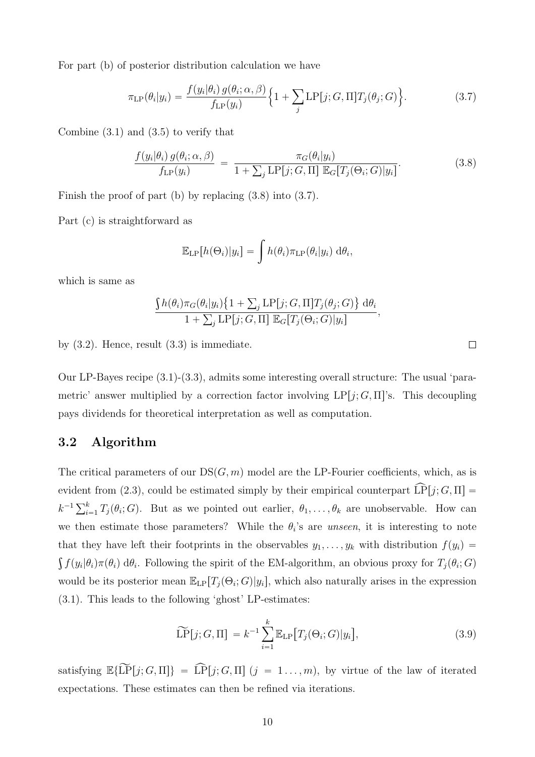For part (b) of posterior distribution calculation we have

$$
\pi_{\text{LP}}(\theta_i|y_i) = \frac{f(y_i|\theta_i) g(\theta_i; \alpha, \beta)}{f_{\text{LP}}(y_i)} \Big\{ 1 + \sum_j \text{LP}[j; G, \Pi] T_j(\theta_j; G) \Big\}.
$$
\n(3.7)

Combine (3.1) and (3.5) to verify that

$$
\frac{f(y_i|\theta_i) g(\theta_i; \alpha, \beta)}{f_{\text{LP}}(y_i)} = \frac{\pi_G(\theta_i|y_i)}{1 + \sum_j \text{LP}[j; G, \Pi] \mathbb{E}_G[T_j(\Theta_i; G)|y_i]}.
$$
(3.8)

Finish the proof of part (b) by replacing (3.8) into (3.7).

Part (c) is straightforward as

$$
\mathbb{E}_{\text{LP}}[h(\Theta_i)|y_i] = \int h(\theta_i) \pi_{\text{LP}}(\theta_i|y_i) \, d\theta_i,
$$

which is same as

$$
\frac{\int h(\theta_i)\pi_G(\theta_i|y_i)\{1+\sum_j \text{LP}[j;G,\Pi]T_j(\theta_j;G)\}\,\mathrm{d}\theta_i}{1+\sum_j \text{LP}[j;G,\Pi]\,\mathbb{E}_G[T_j(\Theta_i;G)|y_i]},
$$

by  $(3.2)$ . Hence, result  $(3.3)$  is immediate.

Our LP-Bayes recipe (3.1)-(3.3), admits some interesting overall structure: The usual 'parametric' answer multiplied by a correction factor involving  $LP[j; G, \Pi]$ 's. This decoupling pays dividends for theoretical interpretation as well as computation.

### 3.2 Algorithm

The critical parameters of our  $DS(G, m)$  model are the LP-Fourier coefficients, which, as is evident from (2.3), could be estimated simply by their empirical counterpart  $\widehat{LP}[j; G, \Pi] =$  $k^{-1} \sum_{i=1}^{k} T_j(\theta_i; G)$ . But as we pointed out earlier,  $\theta_1, \ldots, \theta_k$  are unobservable. How can we then estimate those parameters? While the  $\theta_i$ 's are unseen, it is interesting to note that they have left their footprints in the observables  $y_1, \ldots, y_k$  with distribution  $f(y_i) =$  $f(y_i|\theta_i)\pi(\theta_i) d\theta_i$ . Following the spirit of the EM-algorithm, an obvious proxy for  $T_j(\theta_i;G)$ would be its posterior mean  $\mathbb{E}_{LP}[T_j(\Theta_i; G)|y_i]$ , which also naturally arises in the expression (3.1). This leads to the following 'ghost' LP-estimates:

$$
\widetilde{\mathrm{LP}}[j; G, \Pi] = k^{-1} \sum_{i=1}^{k} \mathbb{E}_{\mathrm{LP}}[T_j(\Theta_i; G)|y_i], \tag{3.9}
$$

satisfying  $\mathbb{E}\{\widetilde{\mathrm{LP}}[j; G, \Pi]\} = \widehat{\mathrm{LP}}[j; G, \Pi]$   $(j = 1, ..., m)$ , by virtue of the law of iterated expectations. These estimates can then be refined via iterations.

 $\Box$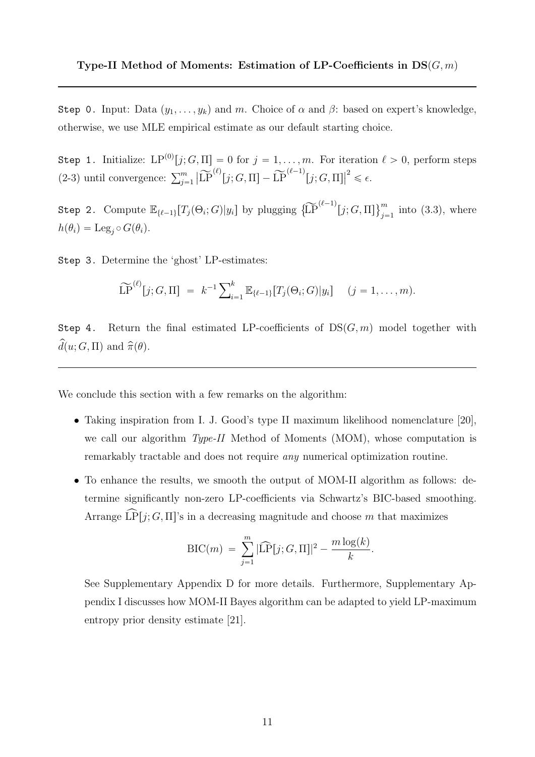Step 0. Input: Data  $(y_1, \ldots, y_k)$  and m. Choice of  $\alpha$  and  $\beta$ : based on expert's knowledge, otherwise, we use MLE empirical estimate as our default starting choice.

Step 1. Initialize:  $\text{LP}^{(0)}[j;G,\Pi] = 0$  for  $j = 1,\ldots,m$ . For iteration  $\ell > 0$ , perform steps  $(2-3)$  until convergence:  $\sum_{j=1}^{m}$  $|\widetilde{\text{LP}}^{(\ell)}[j; G, \Pi] - \widetilde{\text{LP}}^{(\ell-1)}[j; G, \Pi]$  $\vert^2 \leqslant \epsilon.$ 

Step 2. Compute  $\mathbb{E}_{\{\ell-1\}}[T_j(\Theta_i;G)|y_i]$  by plugging  $\{\widetilde{\operatorname{LP}}^{(\ell-1)}[j;G,\Pi]$  $\binom{m}{m}$  $\sum_{j=1}^{m}$  into (3.3), where  $h(\theta_i) = \text{Leg}_i \circ G(\theta_i).$ 

Step 3. Determine the 'ghost' LP-estimates:

$$
\widetilde{\mathrm{LP}}^{(\ell)}[j;G,\Pi] = k^{-1} \sum_{i=1}^k \mathbb{E}_{\{\ell-1\}}[T_j(\Theta_i;G)|y_i] \quad (j=1,\ldots,m).
$$

Step 4. Return the final estimated LP-coefficients of  $DS(G, m)$  model together with  $d(u; G, \Pi)$  and  $\hat{\pi}(\theta)$ .

We conclude this section with a few remarks on the algorithm:

- Taking inspiration from I. J. Good's type II maximum likelihood nomenclature [20], we call our algorithm  $Type-II$  Method of Moments (MOM), whose computation is remarkably tractable and does not require any numerical optimization routine.
- To enhance the results, we smooth the output of MOM-II algorithm as follows: determine significantly non-zero LP-coefficients via Schwartz's BIC-based smoothing. Arrange  $\widehat{\text{LP}}[j; G, \Pi]$ 's in a decreasing magnitude and choose m that maximizes

$$
\text{BIC}(m) = \sum_{j=1}^{m} |\widehat{\text{LP}}[j;G,\Pi]|^2 - \frac{m \log(k)}{k}.
$$

See Supplementary Appendix D for more details. Furthermore, Supplementary Appendix I discusses how MOM-II Bayes algorithm can be adapted to yield LP-maximum entropy prior density estimate [21].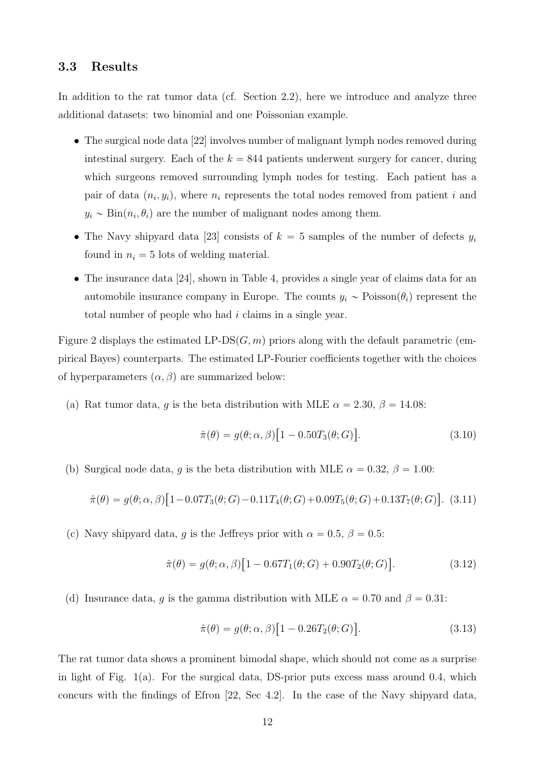### 3.3 Results

In addition to the rat tumor data (cf. Section 2.2), here we introduce and analyze three additional datasets: two binomial and one Poissonian example.

- The surgical node data [22] involves number of malignant lymph nodes removed during intestinal surgery. Each of the  $k = 844$  patients underwent surgery for cancer, during which surgeons removed surrounding lymph nodes for testing. Each patient has a pair of data  $(n_i, y_i)$ , where  $n_i$  represents the total nodes removed from patient i and  $y_i \sim \text{Bin}(n_i, \theta_i)$  are the number of malignant nodes among them.
- The Navy shipyard data [23] consists of  $k = 5$  samples of the number of defects  $y_i$ found in  $n_i = 5$  lots of welding material.
- The insurance data [24], shown in Table 4, provides a single year of claims data for an automobile insurance company in Europe. The counts  $y_i \sim \text{Poisson}(\theta_i)$  represent the total number of people who had i claims in a single year.

Figure 2 displays the estimated LP-DS $(G, m)$  priors along with the default parametric (empirical Bayes) counterparts. The estimated LP-Fourier coefficients together with the choices of hyperparameters  $(\alpha, \beta)$  are summarized below:

(a) Rat tumor data, g is the beta distribution with MLE  $\alpha = 2.30, \beta = 14.08$ :

$$
\hat{\pi}(\theta) = g(\theta; \alpha, \beta) [1 - 0.50T_3(\theta; G)].
$$
\n(3.10)

(b) Surgical node data, q is the beta distribution with MLE  $\alpha = 0.32$ ,  $\beta = 1.00$ :

$$
\hat{\pi}(\theta) = g(\theta; \alpha, \beta) [1 - 0.07T_3(\theta; G) - 0.11T_4(\theta; G) + 0.09T_5(\theta; G) + 0.13T_7(\theta; G)].
$$
 (3.11)

(c) Navy shipyard data, g is the Jeffreys prior with  $\alpha = 0.5$ ,  $\beta = 0.5$ :

$$
\hat{\pi}(\theta) = g(\theta; \alpha, \beta) [1 - 0.67T_1(\theta; G) + 0.90T_2(\theta; G)].
$$
\n(3.12)

(d) Insurance data, g is the gamma distribution with MLE  $\alpha = 0.70$  and  $\beta = 0.31$ :

$$
\hat{\pi}(\theta) = g(\theta; \alpha, \beta) \left[ 1 - 0.26 T_2(\theta; G) \right]. \tag{3.13}
$$

The rat tumor data shows a prominent bimodal shape, which should not come as a surprise in light of Fig. 1(a). For the surgical data, DS-prior puts excess mass around 0.4, which concurs with the findings of Efron [22, Sec 4.2]. In the case of the Navy shipyard data,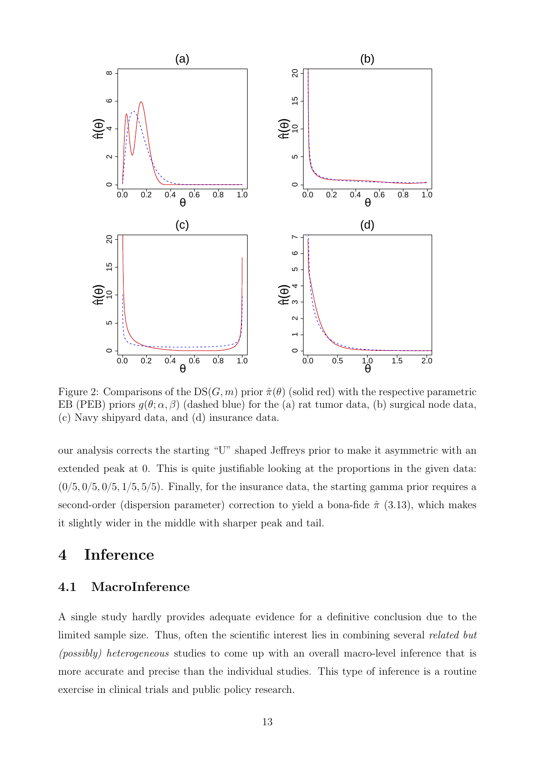

Figure 2: Comparisons of the  $DS(G, m)$  prior  $\hat{\pi}(\theta)$  (solid red) with the respective parametric EB (PEB) priors  $g(\theta; \alpha, \beta)$  (dashed blue) for the (a) rat tumor data, (b) surgical node data, (c) Navy shipyard data, and (d) insurance data.

our analysis corrects the starting "U" shaped Jeffreys prior to make it asymmetric with an extended peak at 0. This is quite justifiable looking at the proportions in the given data:  $(0/5, 0/5, 0/5, 1/5, 5/5)$ . Finally, for the insurance data, the starting gamma prior requires a second-order (dispersion parameter) correction to yield a bona-fide  $\hat{\pi}$  (3.13), which makes it slightly wider in the middle with sharper peak and tail.

## 4 Inference

## 4.1 MacroInference

A single study hardly provides adequate evidence for a definitive conclusion due to the limited sample size. Thus, often the scientific interest lies in combining several related but (possibly) heterogeneous studies to come up with an overall macro-level inference that is more accurate and precise than the individual studies. This type of inference is a routine exercise in clinical trials and public policy research.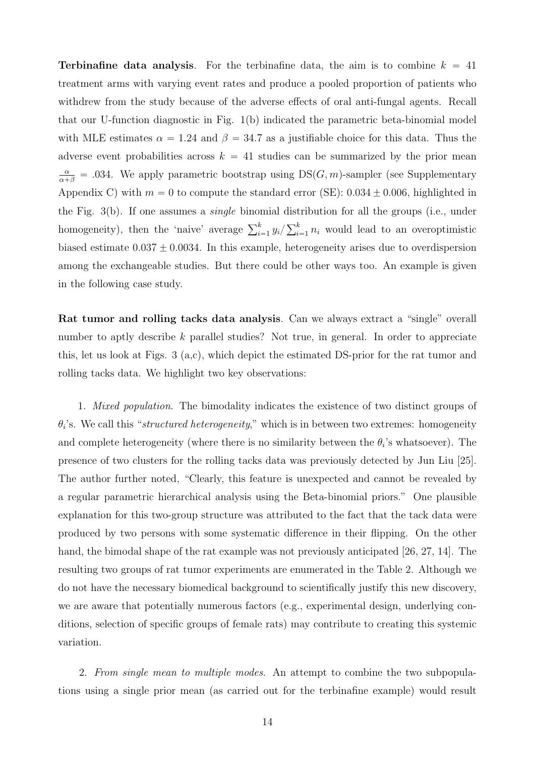**Terbinafine data analysis.** For the terbinafine data, the aim is to combine  $k = 41$ treatment arms with varying event rates and produce a pooled proportion of patients who withdrew from the study because of the adverse effects of oral anti-fungal agents. Recall that our U-function diagnostic in Fig. 1(b) indicated the parametric beta-binomial model with MLE estimates  $\alpha = 1.24$  and  $\beta = 34.7$  as a justifiable choice for this data. Thus the adverse event probabilities across  $k = 41$  studies can be summarized by the prior mean  $\frac{\alpha}{\alpha+\beta}$  = .034. We apply parametric bootstrap using DS(*G*, *m*)-sampler (see Supplementary Appendix C) with  $m = 0$  to compute the standard error (SE): 0.034  $\pm$  0.006, highlighted in the Fig. 3(b). If one assumes a single binomial distribution for all the groups (i.e., under homogeneity), then the 'naive' average  $\sum_{i=1}^{k} y_i / \sum_{i=1}^{k}$  $\sum_{i=1}^{k} n_i$  would lead to an overoptimistic biased estimate  $0.037 \pm 0.0034$ . In this example, heterogeneity arises due to overdispersion among the exchangeable studies. But there could be other ways too. An example is given in the following case study.

Rat tumor and rolling tacks data analysis. Can we always extract a "single" overall number to aptly describe k parallel studies? Not true, in general. In order to appreciate this, let us look at Figs. 3 (a,c), which depict the estimated DS-prior for the rat tumor and rolling tacks data. We highlight two key observations:

1. Mixed population. The bimodality indicates the existence of two distinct groups of  $\theta_i$ 's. We call this "*structured heterogeneity*," which is in between two extremes: homogeneity and complete heterogeneity (where there is no similarity between the  $\theta_i$ 's whatsoever). The presence of two clusters for the rolling tacks data was previously detected by Jun Liu [25]. The author further noted, "Clearly, this feature is unexpected and cannot be revealed by a regular parametric hierarchical analysis using the Beta-binomial priors." One plausible explanation for this two-group structure was attributed to the fact that the tack data were produced by two persons with some systematic difference in their flipping. On the other hand, the bimodal shape of the rat example was not previously anticipated [26, 27, 14]. The resulting two groups of rat tumor experiments are enumerated in the Table 2. Although we do not have the necessary biomedical background to scientifically justify this new discovery, we are aware that potentially numerous factors (e.g., experimental design, underlying conditions, selection of specific groups of female rats) may contribute to creating this systemic variation.

2. From single mean to multiple modes. An attempt to combine the two subpopulations using a single prior mean (as carried out for the terbinafine example) would result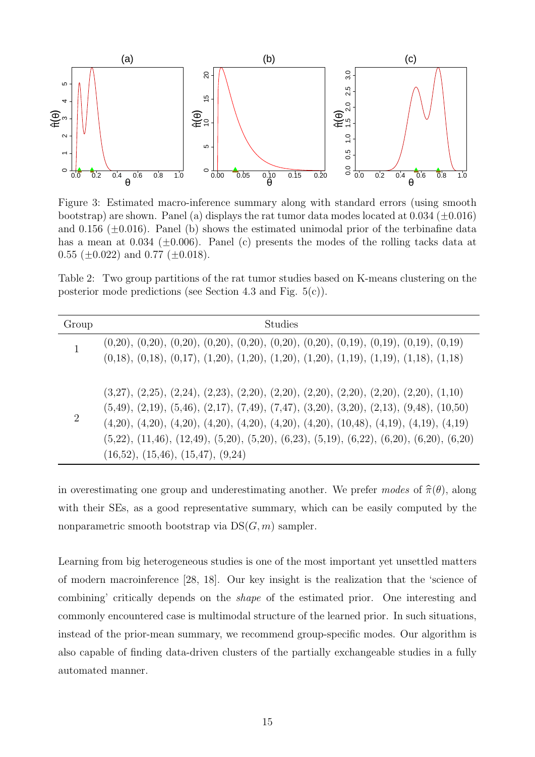

Figure 3: Estimated macro-inference summary along with standard errors (using smooth bootstrap) are shown. Panel (a) displays the rat tumor data modes located at  $0.034 (\pm 0.016)$ and 0.156 ( $\pm$ 0.016). Panel (b) shows the estimated unimodal prior of the terbinafine data has a mean at 0.034 ( $\pm$ 0.006). Panel (c) presents the modes of the rolling tacks data at  $0.55$  ( $\pm 0.022$ ) and 0.77 ( $\pm 0.018$ ).

Table 2: Two group partitions of the rat tumor studies based on K-means clustering on the posterior mode predictions (see Section 4.3 and Fig. 5(c)).

| Group          | <b>Studies</b>                                                                             |
|----------------|--------------------------------------------------------------------------------------------|
| $\mathbf{1}$   | $(0,20), (0,20), (0,20), (0,20), (0,20), (0,20), (0,20), (0,19), (0,19), (0,19), (0,19)$   |
|                | $(0,18), (0,18), (0,17), (1,20), (1,20), (1,20), (1,20), (1,19), (1,19), (1,18), (1,18)$   |
|                | $(3,27), (2,25), (2,24), (2,23), (2,20), (2,20), (2,20), (2,20), (2,20), (2,20), (1,10)$   |
| $\overline{2}$ | $(5,49), (2,19), (5,46), (2,17), (7,49), (7,47), (3,20), (3,20), (2,13), (9,48), (10,50)$  |
|                | $(4,20), (4,20), (4,20), (4,20), (4,20), (4,20), (4,20), (10,48), (4,19), (4,19), (4,19)$  |
|                | $(5,22), (11,46), (12,49), (5,20), (5,20), (6,23), (5,19), (6,22), (6,20), (6,20), (6,20)$ |
|                | (16,52), (15,46), (15,47), (9,24)                                                          |

in overestimating one group and underestimating another. We prefer modes of  $\hat{\pi}(\theta)$ , along with their SEs, as a good representative summary, which can be easily computed by the nonparametric smooth bootstrap via  $DS(G, m)$  sampler.

Learning from big heterogeneous studies is one of the most important yet unsettled matters of modern macroinference [28, 18]. Our key insight is the realization that the 'science of combining' critically depends on the shape of the estimated prior. One interesting and commonly encountered case is multimodal structure of the learned prior. In such situations, instead of the prior-mean summary, we recommend group-specific modes. Our algorithm is also capable of finding data-driven clusters of the partially exchangeable studies in a fully automated manner.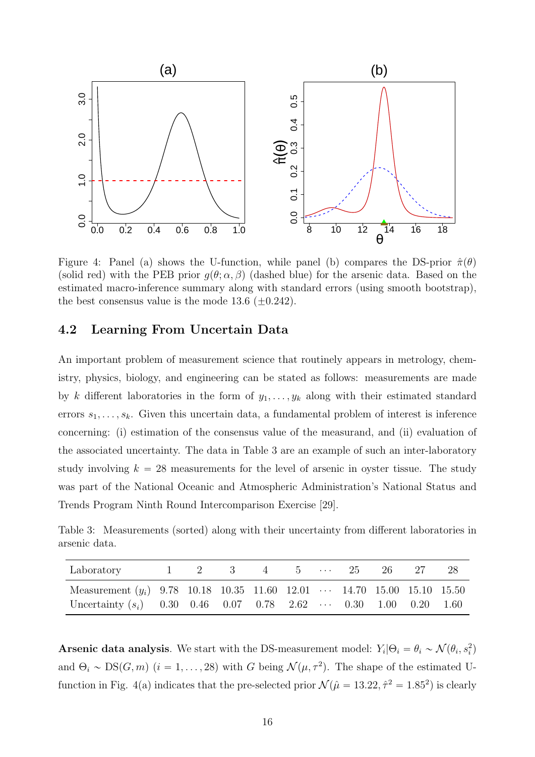

Figure 4: Panel (a) shows the U-function, while panel (b) compares the DS-prior  $\hat{\pi}(\theta)$ (solid red) with the PEB prior  $g(\theta; \alpha, \beta)$  (dashed blue) for the arsenic data. Based on the estimated macro-inference summary along with standard errors (using smooth bootstrap), the best consensus value is the mode 13.6  $(\pm 0.242)$ .

### 4.2 Learning From Uncertain Data

An important problem of measurement science that routinely appears in metrology, chemistry, physics, biology, and engineering can be stated as follows: measurements are made by k different laboratories in the form of  $y_1, \ldots, y_k$  along with their estimated standard errors  $s_1, \ldots, s_k$ . Given this uncertain data, a fundamental problem of interest is inference concerning: (i) estimation of the consensus value of the measurand, and (ii) evaluation of the associated uncertainty. The data in Table 3 are an example of such an inter-laboratory study involving  $k = 28$  measurements for the level of arsenic in oyster tissue. The study was part of the National Oceanic and Atmospheric Administration's National Status and Trends Program Ninth Round Intercomparison Exercise [29].

Table 3: Measurements (sorted) along with their uncertainty from different laboratories in arsenic data.

| Laboratory                                                                        |  |  |  | $1 \t 2 \t 3 \t 4 \t 5 \t \cdots \t 25 \t 26 \t 27$ |  | -28 |
|-----------------------------------------------------------------------------------|--|--|--|-----------------------------------------------------|--|-----|
| Measurement $(y_i)$ 9.78 10.18 10.35 11.60 12.01 $\cdots$ 14.70 15.00 15.10 15.50 |  |  |  |                                                     |  |     |
| Uncertainty $(s_i)$ 0.30 0.46 0.07 0.78 2.62 $\cdots$ 0.30 1.00 0.20 1.60         |  |  |  |                                                     |  |     |

**Arsenic data analysis**. We start with the DS-measurement model:  $Y_i | \Theta_i = \theta_i \sim \mathcal{N}(\theta_i, s_i^2)$ and  $\Theta_i \sim DS(G, m)$   $(i = 1, ..., 28)$  with G being  $\mathcal{N}(\mu, \tau^2)$ . The shape of the estimated Ufunction in Fig. 4(a) indicates that the pre-selected prior  $\mathcal{N}(\hat{\mu} = 13.22, \hat{\tau}^2 = 1.85^2)$  is clearly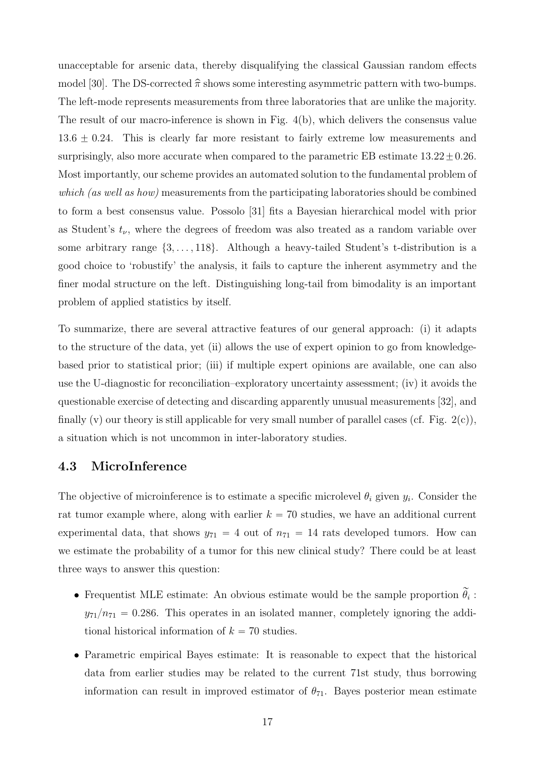unacceptable for arsenic data, thereby disqualifying the classical Gaussian random effects model [30]. The DS-corrected  $\hat{\pi}$  shows some interesting asymmetric pattern with two-bumps. The left-mode represents measurements from three laboratories that are unlike the majority. The result of our macro-inference is shown in Fig. 4(b), which delivers the consensus value  $13.6 \pm 0.24$ . This is clearly far more resistant to fairly extreme low measurements and surprisingly, also more accurate when compared to the parametric EB estimate  $13.22 \pm 0.26$ . Most importantly, our scheme provides an automated solution to the fundamental problem of which (as well as how) measurements from the participating laboratories should be combined to form a best consensus value. Possolo [31] fits a Bayesian hierarchical model with prior as Student's  $t_{\nu}$ , where the degrees of freedom was also treated as a random variable over some arbitrary range  $\{3, \ldots, 118\}$ . Although a heavy-tailed Student's t-distribution is a good choice to 'robustify' the analysis, it fails to capture the inherent asymmetry and the finer modal structure on the left. Distinguishing long-tail from bimodality is an important problem of applied statistics by itself.

To summarize, there are several attractive features of our general approach: (i) it adapts to the structure of the data, yet (ii) allows the use of expert opinion to go from knowledgebased prior to statistical prior; (iii) if multiple expert opinions are available, one can also use the U-diagnostic for reconciliation–exploratory uncertainty assessment; (iv) it avoids the questionable exercise of detecting and discarding apparently unusual measurements [32], and finally (v) our theory is still applicable for very small number of parallel cases (cf. Fig.  $2(c)$ ), a situation which is not uncommon in inter-laboratory studies.

### 4.3 MicroInference

The objective of microinference is to estimate a specific microlevel  $\theta_i$  given  $y_i$ . Consider the rat tumor example where, along with earlier  $k = 70$  studies, we have an additional current experimental data, that shows  $y_{71} = 4$  out of  $n_{71} = 14$  rats developed tumors. How can we estimate the probability of a tumor for this new clinical study? There could be at least three ways to answer this question:

- Frequentist MLE estimate: An obvious estimate would be the sample proportion  $\widetilde{\theta}_i$ :  $y_{71}/n_{71} = 0.286$ . This operates in an isolated manner, completely ignoring the additional historical information of  $k = 70$  studies.
- Parametric empirical Bayes estimate: It is reasonable to expect that the historical data from earlier studies may be related to the current 71st study, thus borrowing information can result in improved estimator of  $\theta_{71}$ . Bayes posterior mean estimate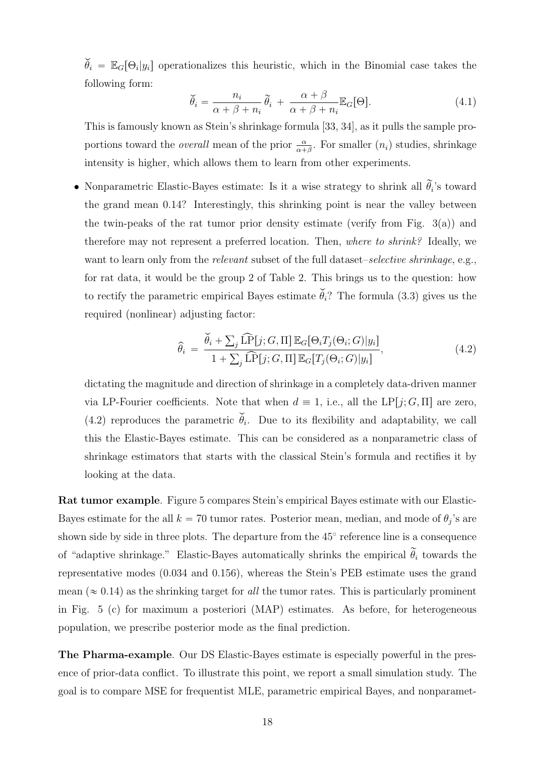$\check{\theta}_i = \mathbb{E}_G[\Theta_i|y_i]$  operationalizes this heuristic, which in the Binomial case takes the following form:

$$
\breve{\theta}_i = \frac{n_i}{\alpha + \beta + n_i} \widetilde{\theta}_i + \frac{\alpha + \beta}{\alpha + \beta + n_i} \mathbb{E}_G[\Theta]. \tag{4.1}
$$

This is famously known as Stein's shrinkage formula [33, 34], as it pulls the sample proportions toward the *overall* mean of the prior  $\frac{\alpha}{\alpha+\beta}$ . For smaller  $(n_i)$  studies, shrinkage intensity is higher, which allows them to learn from other experiments.

• Nonparametric Elastic-Bayes estimate: Is it a wise strategy to shrink all  $\tilde{\theta}_i$ 's toward the grand mean 0.14? Interestingly, this shrinking point is near the valley between the twin-peaks of the rat tumor prior density estimate (verify from Fig.  $3(a)$ ) and therefore may not represent a preferred location. Then, where to shrink? Ideally, we want to learn only from the *relevant* subset of the full dataset–selective shrinkage, e.g., for rat data, it would be the group 2 of Table 2. This brings us to the question: how to rectify the parametric empirical Bayes estimate  $\check{\theta}_i$ ? The formula (3.3) gives us the required (nonlinear) adjusting factor:

$$
\widehat{\theta}_i = \frac{\widecheck{\theta}_i + \sum_j \widehat{\text{LP}}[j; G, \Pi] \mathbb{E}_G[\Theta_i T_j(\Theta_i; G)|y_i]}{1 + \sum_j \widehat{\text{LP}}[j; G, \Pi] \mathbb{E}_G[T_j(\Theta_i; G)|y_i]},\tag{4.2}
$$

dictating the magnitude and direction of shrinkage in a completely data-driven manner via LP-Fourier coefficients. Note that when  $d \equiv 1$ , i.e., all the LP[j; G, II] are zero, (4.2) reproduces the parametric  $\check{\theta}_i$ . Due to its flexibility and adaptability, we call this the Elastic-Bayes estimate. This can be considered as a nonparametric class of shrinkage estimators that starts with the classical Stein's formula and rectifies it by looking at the data.

Rat tumor example. Figure 5 compares Stein's empirical Bayes estimate with our Elastic-Bayes estimate for the all  $k = 70$  tumor rates. Posterior mean, median, and mode of  $\theta_j$ 's are shown side by side in three plots. The departure from the  $45^{\circ}$  reference line is a consequence of "adaptive shrinkage." Elastic-Bayes automatically shrinks the empirical  $\tilde{\theta}_i$  towards the representative modes (0.034 and 0.156), whereas the Stein's PEB estimate uses the grand mean ( $\approx 0.14$ ) as the shrinking target for all the tumor rates. This is particularly prominent in Fig. 5 (c) for maximum a posteriori (MAP) estimates. As before, for heterogeneous population, we prescribe posterior mode as the final prediction.

The Pharma-example. Our DS Elastic-Bayes estimate is especially powerful in the presence of prior-data conflict. To illustrate this point, we report a small simulation study. The goal is to compare MSE for frequentist MLE, parametric empirical Bayes, and nonparamet-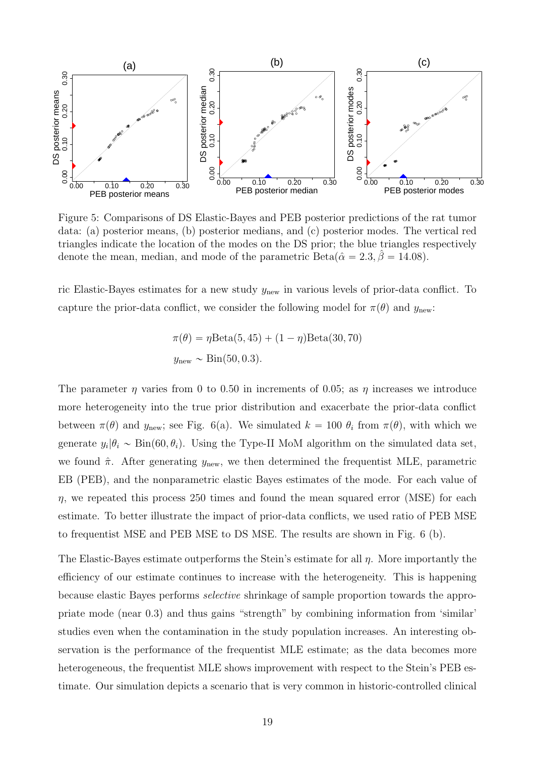

Figure 5: Comparisons of DS Elastic-Bayes and PEB posterior predictions of the rat tumor data: (a) posterior means, (b) posterior medians, and (c) posterior modes. The vertical red triangles indicate the location of the modes on the DS prior; the blue triangles respectively denote the mean, median, and mode of the parametric  $Beta(\hat{\alpha} = 2.3, \hat{\beta} = 14.08)$ .

ric Elastic-Bayes estimates for a new study  $y_{\text{new}}$  in various levels of prior-data conflict. To capture the prior-data conflict, we consider the following model for  $\pi(\theta)$  and  $y_{\text{new}}$ :

$$
\pi(\theta) = \eta \text{Beta}(5, 45) + (1 - \eta) \text{Beta}(30, 70)
$$

$$
y_{\text{new}} \sim \text{Bin}(50, 0.3).
$$

The parameter  $\eta$  varies from 0 to 0.50 in increments of 0.05; as  $\eta$  increases we introduce more heterogeneity into the true prior distribution and exacerbate the prior-data conflict between  $\pi(\theta)$  and  $y_{\text{new}}$ ; see Fig. 6(a). We simulated  $k = 100 \ \theta_i$  from  $\pi(\theta)$ , with which we generate  $y_i | \theta_i \sim Bin(60, \theta_i)$ . Using the Type-II MoM algorithm on the simulated data set, we found  $\hat{\pi}$ . After generating  $y_{\text{new}}$ , we then determined the frequentist MLE, parametric EB (PEB), and the nonparametric elastic Bayes estimates of the mode. For each value of  $\eta$ , we repeated this process 250 times and found the mean squared error (MSE) for each estimate. To better illustrate the impact of prior-data conflicts, we used ratio of PEB MSE to frequentist MSE and PEB MSE to DS MSE. The results are shown in Fig. 6 (b).

The Elastic-Bayes estimate outperforms the Stein's estimate for all  $\eta$ . More importantly the efficiency of our estimate continues to increase with the heterogeneity. This is happening because elastic Bayes performs selective shrinkage of sample proportion towards the appropriate mode (near 0.3) and thus gains "strength" by combining information from 'similar' studies even when the contamination in the study population increases. An interesting observation is the performance of the frequentist MLE estimate; as the data becomes more heterogeneous, the frequentist MLE shows improvement with respect to the Stein's PEB estimate. Our simulation depicts a scenario that is very common in historic-controlled clinical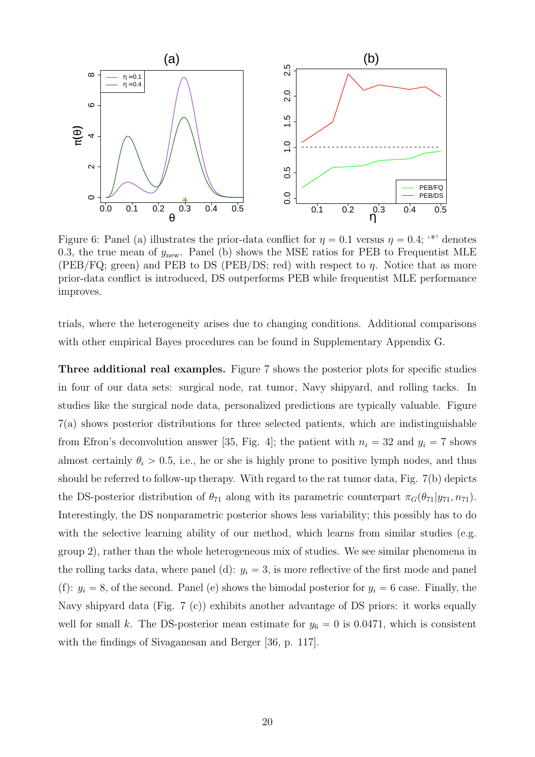

Figure 6: Panel (a) illustrates the prior-data conflict for  $\eta = 0.1$  versus  $\eta = 0.4$ ; <sup>\*\*</sup> denotes 0.3, the true mean of  $y_{\text{new}}$ . Panel (b) shows the MSE ratios for PEB to Frequentist MLE (PEB/FQ; green) and PEB to DS (PEB/DS; red) with respect to  $\eta$ . Notice that as more prior-data conflict is introduced, DS outperforms PEB while frequentist MLE performance improves.

trials, where the heterogeneity arises due to changing conditions. Additional comparisons with other empirical Bayes procedures can be found in Supplementary Appendix G.

Three additional real examples. Figure 7 shows the posterior plots for specific studies in four of our data sets: surgical node, rat tumor, Navy shipyard, and rolling tacks. In studies like the surgical node data, personalized predictions are typically valuable. Figure 7(a) shows posterior distributions for three selected patients, which are indistinguishable from Efron's deconvolution answer [35, Fig. 4]; the patient with  $n_i = 32$  and  $y_i = 7$  shows almost certainly  $\theta_i > 0.5$ , i.e., he or she is highly prone to positive lymph nodes, and thus should be referred to follow-up therapy. With regard to the rat tumor data, Fig. 7(b) depicts the DS-posterior distribution of  $\theta_{71}$  along with its parametric counterpart  $\pi_G(\theta_{71}|y_{71}, n_{71})$ . Interestingly, the DS nonparametric posterior shows less variability; this possibly has to do with the selective learning ability of our method, which learns from similar studies (e.g. group 2), rather than the whole heterogeneous mix of studies. We see similar phenomena in the rolling tacks data, where panel (d):  $y_i = 3$ , is more reflective of the first mode and panel (f):  $y_i = 8$ , of the second. Panel (e) shows the bimodal posterior for  $y_i = 6$  case. Finally, the Navy shipyard data (Fig. 7 (c)) exhibits another advantage of DS priors: it works equally well for small k. The DS-posterior mean estimate for  $y_6 = 0$  is 0.0471, which is consistent with the findings of Sivaganesan and Berger [36, p. 117].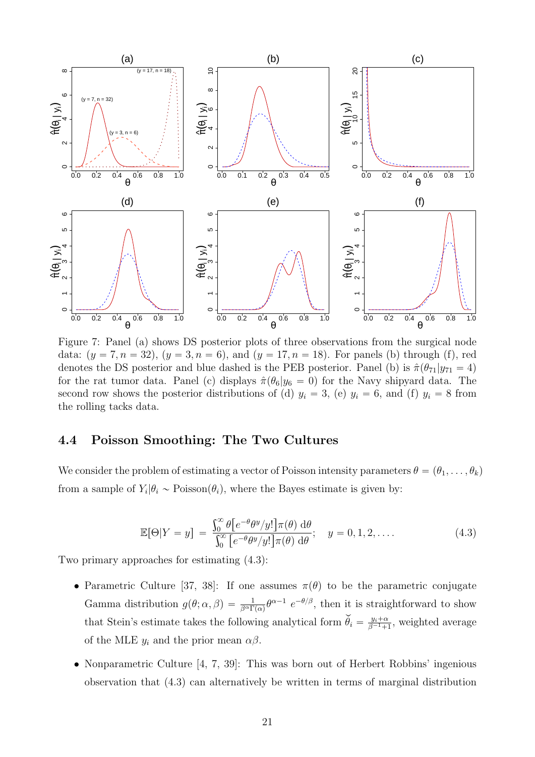

Figure 7: Panel (a) shows DS posterior plots of three observations from the surgical node data:  $(y = 7, n = 32), (y = 3, n = 6),$  and  $(y = 17, n = 18)$ . For panels (b) through (f), red denotes the DS posterior and blue dashed is the PEB posterior. Panel (b) is  $\hat{\pi}(\theta_{71}|y_{71} = 4)$ for the rat tumor data. Panel (c) displays  $\hat{\pi}(\theta_6|y_6 = 0)$  for the Navy shipyard data. The second row shows the posterior distributions of (d)  $y_i = 3$ , (e)  $y_i = 6$ , and (f)  $y_i = 8$  from the rolling tacks data.

### 4.4 Poisson Smoothing: The Two Cultures

We consider the problem of estimating a vector of Poisson intensity parameters  $\theta = (\theta_1, \ldots, \theta_k)$ from a sample of  $Y_i | \theta_i \sim \text{Poisson}(\theta_i)$ , where the Bayes estimate is given by:

$$
\mathbb{E}[\Theta|Y=y] = \frac{\int_0^\infty \theta \left[e^{-\theta} \theta^y / y! \right] \pi(\theta) \, d\theta}{\int_0^\infty \left[e^{-\theta} \theta^y / y! \right] \pi(\theta) \, d\theta}; \quad y = 0, 1, 2, \dots
$$
\n(4.3)

Two primary approaches for estimating (4.3):

- Parametric Culture [37, 38]: If one assumes  $\pi(\theta)$  to be the parametric conjugate Gamma distribution  $g(\theta; \alpha, \beta) = \frac{1}{\beta^{\alpha} \Gamma(\alpha)} \theta^{\alpha-1} e^{-\theta/\beta}$ , then it is straightforward to show that Stein's estimate takes the following analytical form  $\check{\theta}_i = \frac{y_i + \alpha}{\beta - 1 + \alpha}$  $\frac{y_i + \alpha}{\beta^{-1} + 1}$ , weighted average of the MLE  $y_i$  and the prior mean  $\alpha\beta$ .
- Nonparametric Culture [4, 7, 39]: This was born out of Herbert Robbins' ingenious observation that (4.3) can alternatively be written in terms of marginal distribution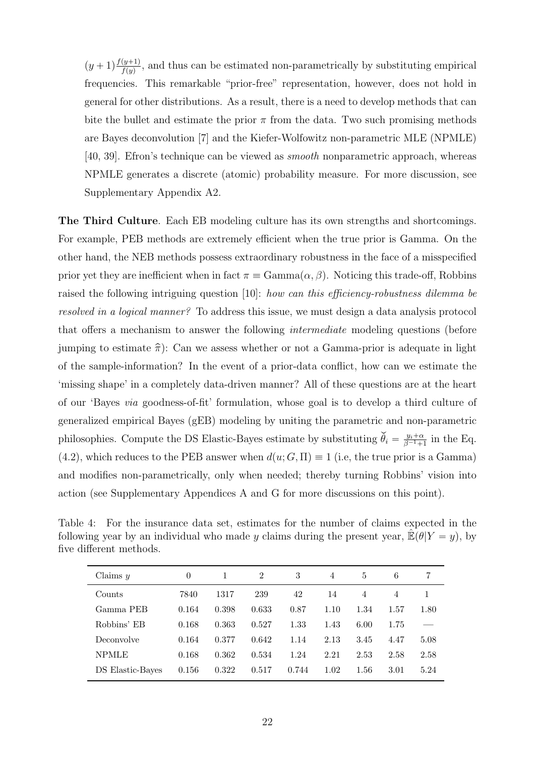$(y+1) \frac{f(y+1)}{f(y)}$  $\frac{(y+1)}{f(y)}$ , and thus can be estimated non-parametrically by substituting empirical frequencies. This remarkable "prior-free" representation, however, does not hold in general for other distributions. As a result, there is a need to develop methods that can bite the bullet and estimate the prior  $\pi$  from the data. Two such promising methods are Bayes deconvolution [7] and the Kiefer-Wolfowitz non-parametric MLE (NPMLE) [40, 39]. Efron's technique can be viewed as smooth nonparametric approach, whereas NPMLE generates a discrete (atomic) probability measure. For more discussion, see Supplementary Appendix A2.

The Third Culture. Each EB modeling culture has its own strengths and shortcomings. For example, PEB methods are extremely efficient when the true prior is Gamma. On the other hand, the NEB methods possess extraordinary robustness in the face of a misspecified prior yet they are inefficient when in fact  $\pi \equiv \text{Gamma}(\alpha, \beta)$ . Noticing this trade-off, Robbins raised the following intriguing question [10]: how can this efficiency-robustness dilemma be resolved in a logical manner? To address this issue, we must design a data analysis protocol that offers a mechanism to answer the following intermediate modeling questions (before jumping to estimate  $\hat{\pi}$ ): Can we assess whether or not a Gamma-prior is adequate in light of the sample-information? In the event of a prior-data conflict, how can we estimate the 'missing shape' in a completely data-driven manner? All of these questions are at the heart of our 'Bayes via goodness-of-fit' formulation, whose goal is to develop a third culture of generalized empirical Bayes (gEB) modeling by uniting the parametric and non-parametric philosophies. Compute the DS Elastic-Bayes estimate by substituting  $\check{\theta}_i = \frac{y_i + \alpha}{\beta - 1 + i}$  $\frac{y_i+\alpha}{\beta^{-1}+1}$  in the Eq. (4.2), which reduces to the PEB answer when  $d(u; G, \Pi) \equiv 1$  (i.e, the true prior is a Gamma) and modifies non-parametrically, only when needed; thereby turning Robbins' vision into action (see Supplementary Appendices A and G for more discussions on this point).

Table 4: For the insurance data set, estimates for the number of claims expected in the following year by an individual who made y claims during the present year,  $\mathbb{E}(\theta|Y = y)$ , by five different methods.

| Claims $y$       | $\theta$ |       | $\overline{2}$ | 3     | 4    | 5    | 6              |      |
|------------------|----------|-------|----------------|-------|------|------|----------------|------|
| Counts           | 7840     | 1317  | 239            | 42    | 14   | 4    | $\overline{4}$ |      |
| Gamma PEB        | 0.164    | 0.398 | 0.633          | 0.87  | 1.10 | 1.34 | 1.57           | 1.80 |
| Robbins' EB      | 0.168    | 0.363 | 0.527          | 1.33  | 1.43 | 6.00 | 1.75           |      |
| Deconvolve       | 0.164    | 0.377 | 0.642          | 1.14  | 2.13 | 3.45 | 4.47           | 5.08 |
| <b>NPMLE</b>     | 0.168    | 0.362 | 0.534          | 1.24  | 2.21 | 2.53 | 2.58           | 2.58 |
| DS Elastic-Bayes | 0.156    | 0.322 | 0.517          | 0.744 | 1.02 | 1.56 | 3.01           | 5.24 |
|                  |          |       |                |       |      |      |                |      |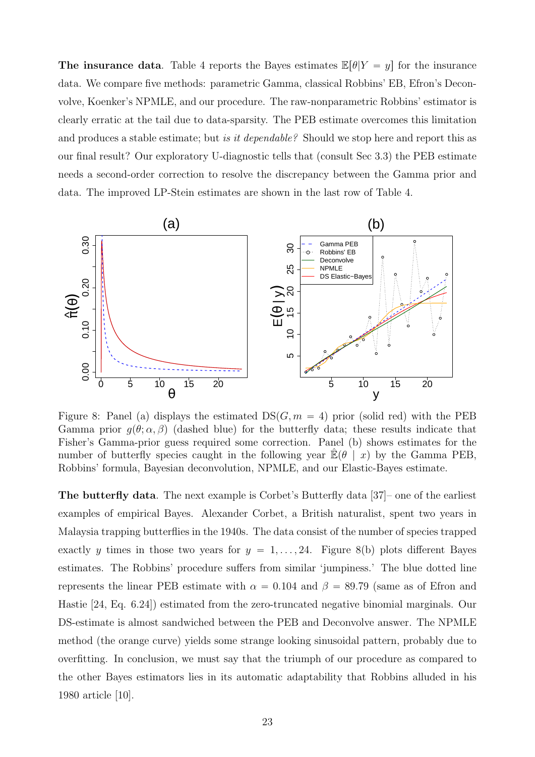The insurance data. Table 4 reports the Bayes estimates  $\mathbb{E}[\theta|Y=y]$  for the insurance data. We compare five methods: parametric Gamma, classical Robbins' EB, Efron's Deconvolve, Koenker's NPMLE, and our procedure. The raw-nonparametric Robbins' estimator is clearly erratic at the tail due to data-sparsity. The PEB estimate overcomes this limitation and produces a stable estimate; but is it dependable? Should we stop here and report this as our final result? Our exploratory U-diagnostic tells that (consult Sec 3.3) the PEB estimate needs a second-order correction to resolve the discrepancy between the Gamma prior and data. The improved LP-Stein estimates are shown in the last row of Table 4.



Figure 8: Panel (a) displays the estimated  $DS(G, m = 4)$  prior (solid red) with the PEB Gamma prior  $q(\theta; \alpha, \beta)$  (dashed blue) for the butterfly data; these results indicate that Fisher's Gamma-prior guess required some correction. Panel (b) shows estimates for the number of butterfly species caught in the following year  $\mathbb{E}(\theta | x)$  by the Gamma PEB, Robbins' formula, Bayesian deconvolution, NPMLE, and our Elastic-Bayes estimate.

The butterfly data. The next example is Corbet's Butterfly data [37]– one of the earliest examples of empirical Bayes. Alexander Corbet, a British naturalist, spent two years in Malaysia trapping butterflies in the 1940s. The data consist of the number of species trapped exactly y times in those two years for  $y = 1, \ldots, 24$ . Figure 8(b) plots different Bayes estimates. The Robbins' procedure suffers from similar 'jumpiness.' The blue dotted line represents the linear PEB estimate with  $\alpha = 0.104$  and  $\beta = 89.79$  (same as of Efron and Hastie [24, Eq. 6.24]) estimated from the zero-truncated negative binomial marginals. Our DS-estimate is almost sandwiched between the PEB and Deconvolve answer. The NPMLE method (the orange curve) yields some strange looking sinusoidal pattern, probably due to overfitting. In conclusion, we must say that the triumph of our procedure as compared to the other Bayes estimators lies in its automatic adaptability that Robbins alluded in his 1980 article [10].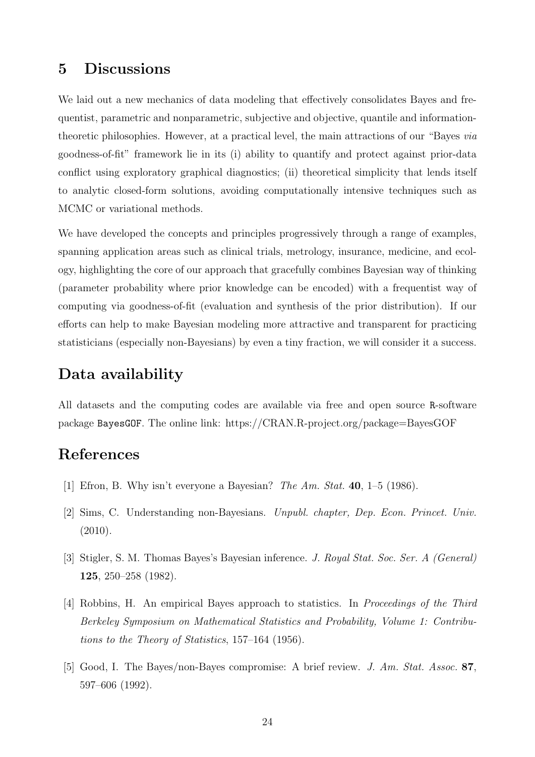# 5 Discussions

We laid out a new mechanics of data modeling that effectively consolidates Bayes and frequentist, parametric and nonparametric, subjective and objective, quantile and informationtheoretic philosophies. However, at a practical level, the main attractions of our "Bayes via goodness-of-fit" framework lie in its (i) ability to quantify and protect against prior-data conflict using exploratory graphical diagnostics; (ii) theoretical simplicity that lends itself to analytic closed-form solutions, avoiding computationally intensive techniques such as MCMC or variational methods.

We have developed the concepts and principles progressively through a range of examples, spanning application areas such as clinical trials, metrology, insurance, medicine, and ecology, highlighting the core of our approach that gracefully combines Bayesian way of thinking (parameter probability where prior knowledge can be encoded) with a frequentist way of computing via goodness-of-fit (evaluation and synthesis of the prior distribution). If our efforts can help to make Bayesian modeling more attractive and transparent for practicing statisticians (especially non-Bayesians) by even a tiny fraction, we will consider it a success.

## Data availability

All datasets and the computing codes are available via free and open source R-software package BayesGOF. The online link: https://CRAN.R-project.org/package=BayesGOF

# References

- [1] Efron, B. Why isn't everyone a Bayesian? The Am. Stat.  $40$ ,  $1-5$  (1986).
- [2] Sims, C. Understanding non-Bayesians. Unpubl. chapter, Dep. Econ. Princet. Univ. (2010).
- [3] Stigler, S. M. Thomas Bayes's Bayesian inference. J. Royal Stat. Soc. Ser. A (General) 125, 250–258 (1982).
- [4] Robbins, H. An empirical Bayes approach to statistics. In Proceedings of the Third Berkeley Symposium on Mathematical Statistics and Probability, Volume 1: Contributions to the Theory of Statistics, 157–164 (1956).
- [5] Good, I. The Bayes/non-Bayes compromise: A brief review. J. Am. Stat. Assoc. 87, 597–606 (1992).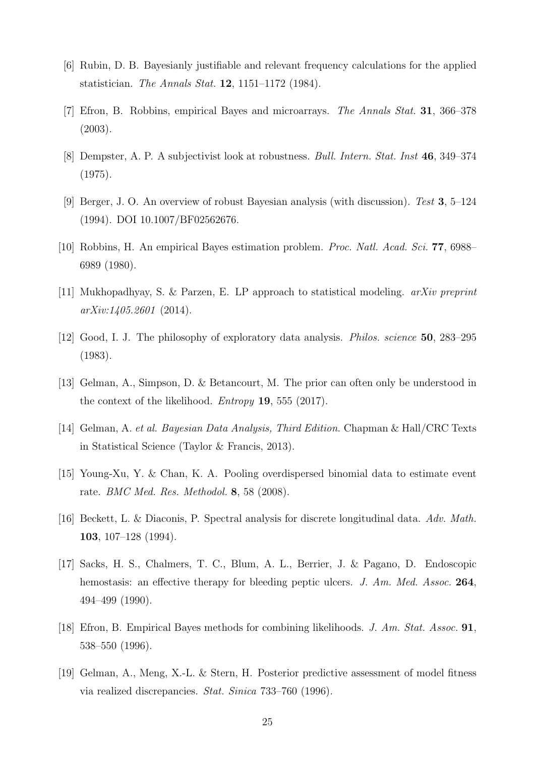- [6] Rubin, D. B. Bayesianly justifiable and relevant frequency calculations for the applied statistician. The Annals Stat. 12, 1151–1172 (1984).
- [7] Efron, B. Robbins, empirical Bayes and microarrays. The Annals Stat. 31, 366–378 (2003).
- [8] Dempster, A. P. A subjectivist look at robustness. Bull. Intern. Stat. Inst 46, 349–374 (1975).
- [9] Berger, J. O. An overview of robust Bayesian analysis (with discussion). Test 3, 5–124 (1994). DOI 10.1007/BF02562676.
- [10] Robbins, H. An empirical Bayes estimation problem. Proc. Natl. Acad. Sci. 77, 6988– 6989 (1980).
- [11] Mukhopadhyay, S. & Parzen, E. LP approach to statistical modeling. arXiv preprint arXiv:1405.2601 (2014).
- [12] Good, I. J. The philosophy of exploratory data analysis. Philos. science 50, 283–295 (1983).
- [13] Gelman, A., Simpson, D. & Betancourt, M. The prior can often only be understood in the context of the likelihood. Entropy 19, 555 (2017).
- [14] Gelman, A. et al. Bayesian Data Analysis, Third Edition. Chapman & Hall/CRC Texts in Statistical Science (Taylor & Francis, 2013).
- [15] Young-Xu, Y. & Chan, K. A. Pooling overdispersed binomial data to estimate event rate. BMC Med. Res. Methodol. 8, 58 (2008).
- [16] Beckett, L. & Diaconis, P. Spectral analysis for discrete longitudinal data. Adv. Math. 103, 107–128 (1994).
- [17] Sacks, H. S., Chalmers, T. C., Blum, A. L., Berrier, J. & Pagano, D. Endoscopic hemostasis: an effective therapy for bleeding peptic ulcers. J. Am. Med. Assoc. 264, 494–499 (1990).
- [18] Efron, B. Empirical Bayes methods for combining likelihoods. J. Am. Stat. Assoc. 91, 538–550 (1996).
- [19] Gelman, A., Meng, X.-L. & Stern, H. Posterior predictive assessment of model fitness via realized discrepancies. Stat. Sinica 733–760 (1996).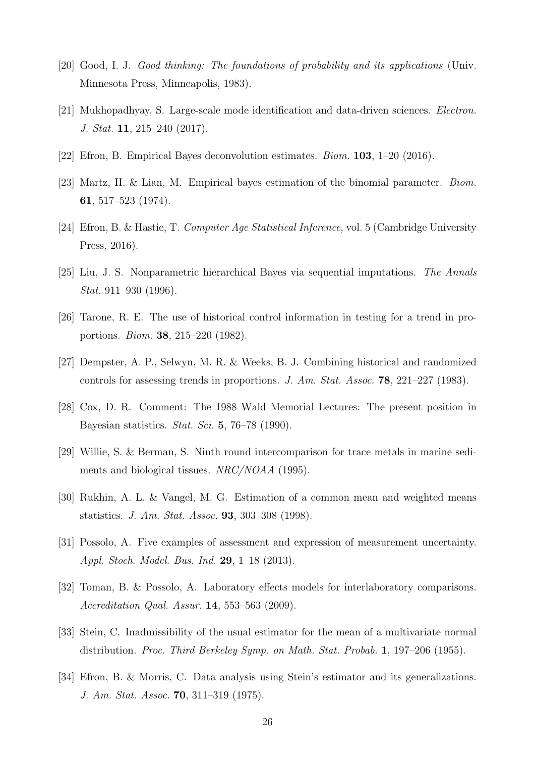- [20] Good, I. J. Good thinking: The foundations of probability and its applications (Univ. Minnesota Press, Minneapolis, 1983).
- [21] Mukhopadhyay, S. Large-scale mode identification and data-driven sciences. Electron. J. Stat. 11, 215–240 (2017).
- [22] Efron, B. Empirical Bayes deconvolution estimates. Biom. 103, 1–20 (2016).
- [23] Martz, H. & Lian, M. Empirical bayes estimation of the binomial parameter. Biom. 61, 517–523 (1974).
- [24] Efron, B. & Hastie, T. Computer Age Statistical Inference, vol. 5 (Cambridge University Press, 2016).
- [25] Liu, J. S. Nonparametric hierarchical Bayes via sequential imputations. The Annals Stat. 911–930 (1996).
- [26] Tarone, R. E. The use of historical control information in testing for a trend in proportions. Biom. 38, 215–220 (1982).
- [27] Dempster, A. P., Selwyn, M. R. & Weeks, B. J. Combining historical and randomized controls for assessing trends in proportions. J. Am. Stat. Assoc. 78, 221–227 (1983).
- [28] Cox, D. R. Comment: The 1988 Wald Memorial Lectures: The present position in Bayesian statistics. Stat. Sci. 5, 76–78 (1990).
- [29] Willie, S. & Berman, S. Ninth round intercomparison for trace metals in marine sediments and biological tissues. NRC/NOAA (1995).
- [30] Rukhin, A. L. & Vangel, M. G. Estimation of a common mean and weighted means statistics. J. Am. Stat. Assoc. 93, 303–308 (1998).
- [31] Possolo, A. Five examples of assessment and expression of measurement uncertainty. Appl. Stoch. Model. Bus. Ind. 29, 1–18 (2013).
- [32] Toman, B. & Possolo, A. Laboratory effects models for interlaboratory comparisons. Accreditation Qual. Assur. 14, 553–563 (2009).
- [33] Stein, C. Inadmissibility of the usual estimator for the mean of a multivariate normal distribution. Proc. Third Berkeley Symp. on Math. Stat. Probab. 1, 197–206 (1955).
- [34] Efron, B. & Morris, C. Data analysis using Stein's estimator and its generalizations. J. Am. Stat. Assoc. 70, 311–319 (1975).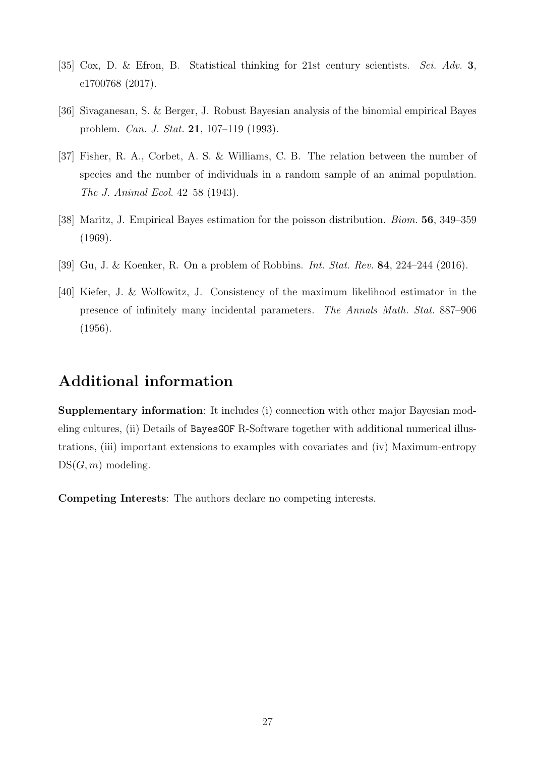- [35] Cox, D. & Efron, B. Statistical thinking for 21st century scientists. Sci. Adv. 3, e1700768 (2017).
- [36] Sivaganesan, S. & Berger, J. Robust Bayesian analysis of the binomial empirical Bayes problem. Can. J. Stat. 21, 107–119 (1993).
- [37] Fisher, R. A., Corbet, A. S. & Williams, C. B. The relation between the number of species and the number of individuals in a random sample of an animal population. The J. Animal Ecol. 42–58 (1943).
- [38] Maritz, J. Empirical Bayes estimation for the poisson distribution. Biom. 56, 349–359 (1969).
- [39] Gu, J. & Koenker, R. On a problem of Robbins. Int. Stat. Rev. 84, 224–244 (2016).
- [40] Kiefer, J. & Wolfowitz, J. Consistency of the maximum likelihood estimator in the presence of infinitely many incidental parameters. The Annals Math. Stat. 887–906 (1956).

## Additional information

Supplementary information: It includes (i) connection with other major Bayesian modeling cultures, (ii) Details of BayesGOF R-Software together with additional numerical illustrations, (iii) important extensions to examples with covariates and (iv) Maximum-entropy  $DS(G, m)$  modeling.

Competing Interests: The authors declare no competing interests.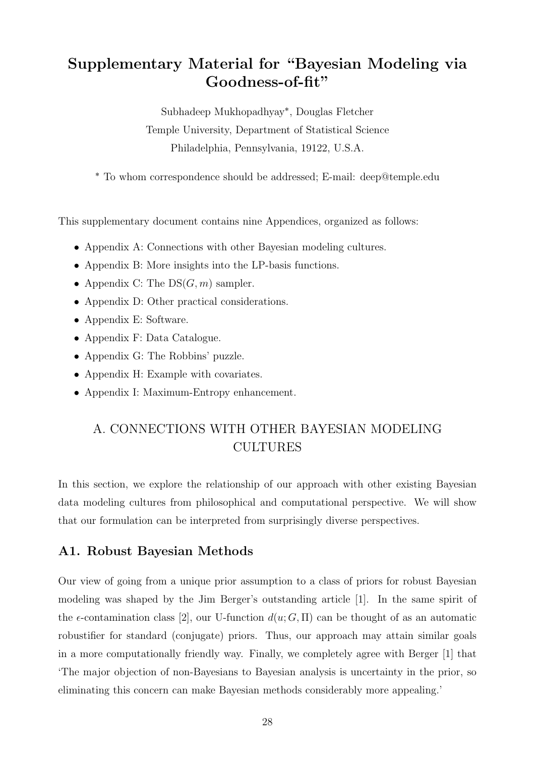# Supplementary Material for "Bayesian Modeling via Goodness-of-fit"

Subhadeep Mukhopadhyay˚ , Douglas Fletcher Temple University, Department of Statistical Science Philadelphia, Pennsylvania, 19122, U.S.A.

˚ To whom correspondence should be addressed; E-mail: deep@temple.edu

This supplementary document contains nine Appendices, organized as follows:

- Appendix A: Connections with other Bayesian modeling cultures.
- Appendix B: More insights into the LP-basis functions.
- Appendix C: The  $DS(G, m)$  sampler.
- Appendix D: Other practical considerations.
- Appendix E: Software.
- Appendix F: Data Catalogue.
- Appendix G: The Robbins' puzzle.
- Appendix H: Example with covariates.
- Appendix I: Maximum-Entropy enhancement.

## A. CONNECTIONS WITH OTHER BAYESIAN MODELING CULTURES

In this section, we explore the relationship of our approach with other existing Bayesian data modeling cultures from philosophical and computational perspective. We will show that our formulation can be interpreted from surprisingly diverse perspectives.

### A1. Robust Bayesian Methods

Our view of going from a unique prior assumption to a class of priors for robust Bayesian modeling was shaped by the Jim Berger's outstanding article [1]. In the same spirit of the  $\epsilon$ -contamination class [2], our U-function  $d(u; G, \Pi)$  can be thought of as an automatic robustifier for standard (conjugate) priors. Thus, our approach may attain similar goals in a more computationally friendly way. Finally, we completely agree with Berger [1] that 'The major objection of non-Bayesians to Bayesian analysis is uncertainty in the prior, so eliminating this concern can make Bayesian methods considerably more appealing.'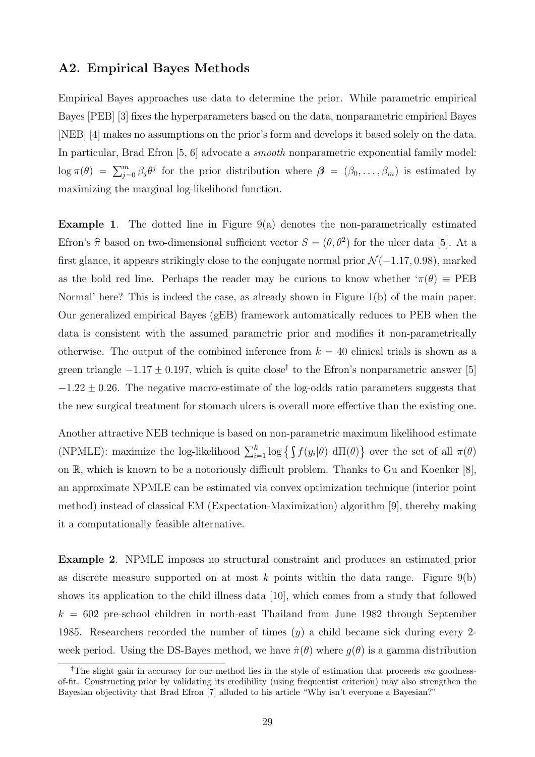### A2. Empirical Bayes Methods

Empirical Bayes approaches use data to determine the prior. While parametric empirical Bayes [PEB] [3] fixes the hyperparameters based on the data, nonparametric empirical Bayes [NEB] [4] makes no assumptions on the prior's form and develops it based solely on the data. In particular, Brad Efron [5, 6] advocate a smooth nonparametric exponential family model:  $\log \pi(\theta) = \sum_{j=0}^{m} \beta_j \theta^j$  for the prior distribution where  $\beta = (\beta_0, \dots, \beta_m)$  is estimated by maximizing the marginal log-likelihood function.

**Example 1.** The dotted line in Figure  $9(a)$  denotes the non-parametrically estimated Efron's  $\hat{\pi}$  based on two-dimensional sufficient vector  $S = (\theta, \theta^2)$  for the ulcer data [5]. At a first glance, it appears strikingly close to the conjugate normal prior  $\mathcal{N}(-1.17, 0.98)$ , marked as the bold red line. Perhaps the reader may be curious to know whether  $\pi(\theta) \equiv \text{PEB}$ Normal' here? This is indeed the case, as already shown in Figure 1(b) of the main paper. Our generalized empirical Bayes (gEB) framework automatically reduces to PEB when the data is consistent with the assumed parametric prior and modifies it non-parametrically otherwise. The output of the combined inference from  $k = 40$  clinical trials is shown as a green triangle  $-1.17 \pm 0.197$ , which is quite close<sup>†</sup> to the Efron's nonparametric answer [5]  $-1.22 \pm 0.26$ . The negative macro-estimate of the log-odds ratio parameters suggests that the new surgical treatment for stomach ulcers is overall more effective than the existing one.

Another attractive NEB technique is based on non-parametric maximum likelihood estimate (NPMLE): maximize the log-likelihood  $\sum_{i=1}^{k} \log \left\{ \int f(y_i|\theta) d\Pi(\theta) \right\}$  $\overline{a}$ over the set of all  $\pi(\theta)$ on R, which is known to be a notoriously difficult problem. Thanks to Gu and Koenker [8], an approximate NPMLE can be estimated via convex optimization technique (interior point method) instead of classical EM (Expectation-Maximization) algorithm [9], thereby making it a computationally feasible alternative.

Example 2. NPMLE imposes no structural constraint and produces an estimated prior as discrete measure supported on at most k points within the data range. Figure  $9(b)$ shows its application to the child illness data [10], which comes from a study that followed  $k = 602$  pre-school children in north-east Thailand from June 1982 through September 1985. Researchers recorded the number of times  $(y)$  a child became sick during every 2week period. Using the DS-Bayes method, we have  $\hat{\pi}(\theta)$  where  $g(\theta)$  is a gamma distribution

<sup>&</sup>lt;sup>†</sup>The slight gain in accuracy for our method lies in the style of estimation that proceeds *via* goodnessof-fit. Constructing prior by validating its credibility (using frequentist criterion) may also strengthen the Bayesian objectivity that Brad Efron [7] alluded to his article "Why isn't everyone a Bayesian?"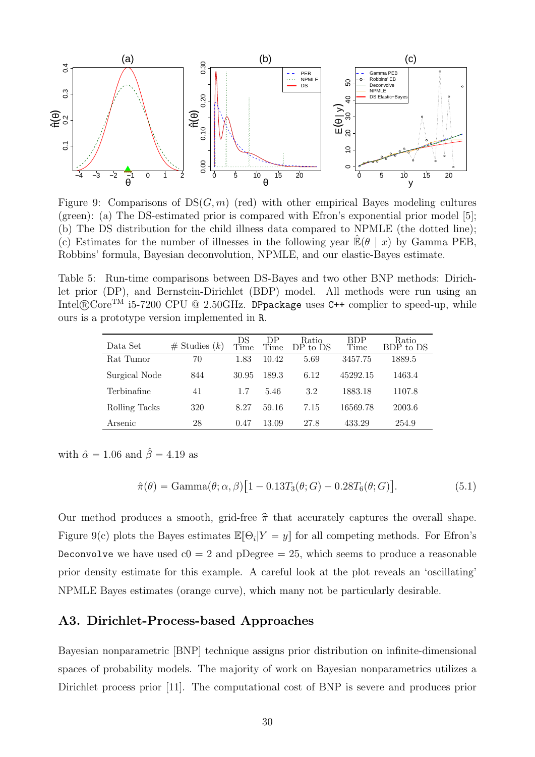

Figure 9: Comparisons of  $DS(G, m)$  (red) with other empirical Bayes modeling cultures (green): (a) The DS-estimated prior is compared with Efron's exponential prior model [5]; (b) The DS distribution for the child illness data compared to NPMLE (the dotted line); (c) Estimates for the number of illnesses in the following year  $\mathbb{E}(\theta | x)$  by Gamma PEB, Robbins' formula, Bayesian deconvolution, NPMLE, and our elastic-Bayes estimate.

Table 5: Run-time comparisons between DS-Bayes and two other BNP methods: Dirichlet prior (DP), and Bernstein-Dirichlet (BDP) model. All methods were run using an Intel $\mathbb{R}$ Core<sup>TM</sup> i5-7200 CPU @ 2.50GHz. DPpackage uses C++ complier to speed-up, while ours is a prototype version implemented in R.

| Data Set      | (k)<br>$#$ Studies | DS<br>Time | DР<br>Time | Ratio<br>DP to DS | BDP<br>Time | Ratio<br>BDP to DS |
|---------------|--------------------|------------|------------|-------------------|-------------|--------------------|
| Rat Tumor     | 70                 | 1.83       | 10.42      | 5.69              | 3457.75     | 1889.5             |
| Surgical Node | 844                | 30.95      | 189.3      | 6.12              | 45292.15    | 1463.4             |
| Terbinafine   | 41                 | 1.7        | 5.46       | 3.2               | 1883.18     | 1107.8             |
| Rolling Tacks | 320                | 8.27       | 59.16      | 7.15              | 16569.78    | 2003.6             |
| Arsenic       | 28                 | 0.47       | 13.09      | 27.8              | 433.29      | 254.9              |

with  $\hat{\alpha} = 1.06$  and  $\hat{\beta} = 4.19$  as

$$
\hat{\pi}(\theta) = \text{Gamma}(\theta; \alpha, \beta) [1 - 0.13T_3(\theta; G) - 0.28T_6(\theta; G)].
$$
\n(5.1)

Our method produces a smooth, grid-free  $\hat{\pi}$  that accurately captures the overall shape. Figure 9(c) plots the Bayes estimates  $\mathbb{E}[\Theta_i|Y=y]$  for all competing methods. For Efron's Deconvolve we have used  $c0 = 2$  and  $p$ Degree = 25, which seems to produce a reasonable prior density estimate for this example. A careful look at the plot reveals an 'oscillating' NPMLE Bayes estimates (orange curve), which many not be particularly desirable.

### A3. Dirichlet-Process-based Approaches

Bayesian nonparametric [BNP] technique assigns prior distribution on infinite-dimensional spaces of probability models. The majority of work on Bayesian nonparametrics utilizes a Dirichlet process prior [11]. The computational cost of BNP is severe and produces prior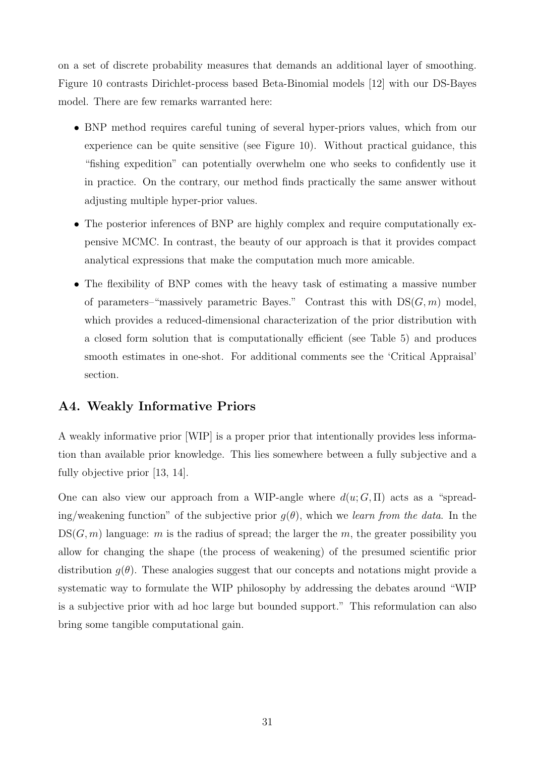on a set of discrete probability measures that demands an additional layer of smoothing. Figure 10 contrasts Dirichlet-process based Beta-Binomial models [12] with our DS-Bayes model. There are few remarks warranted here:

- BNP method requires careful tuning of several hyper-priors values, which from our experience can be quite sensitive (see Figure 10). Without practical guidance, this "fishing expedition" can potentially overwhelm one who seeks to confidently use it in practice. On the contrary, our method finds practically the same answer without adjusting multiple hyper-prior values.
- The posterior inferences of BNP are highly complex and require computationally expensive MCMC. In contrast, the beauty of our approach is that it provides compact analytical expressions that make the computation much more amicable.
- The flexibility of BNP comes with the heavy task of estimating a massive number of parameters–"massively parametric Bayes." Contrast this with  $DS(G, m)$  model, which provides a reduced-dimensional characterization of the prior distribution with a closed form solution that is computationally efficient (see Table 5) and produces smooth estimates in one-shot. For additional comments see the 'Critical Appraisal' section.

## A4. Weakly Informative Priors

A weakly informative prior [WIP] is a proper prior that intentionally provides less information than available prior knowledge. This lies somewhere between a fully subjective and a fully objective prior [13, 14].

One can also view our approach from a WIP-angle where  $d(u; G, \Pi)$  acts as a "spreading/weakening function" of the subjective prior  $g(\theta)$ , which we learn from the data. In the  $DS(G, m)$  language: m is the radius of spread; the larger the m, the greater possibility you allow for changing the shape (the process of weakening) of the presumed scientific prior distribution  $q(\theta)$ . These analogies suggest that our concepts and notations might provide a systematic way to formulate the WIP philosophy by addressing the debates around "WIP is a subjective prior with ad hoc large but bounded support." This reformulation can also bring some tangible computational gain.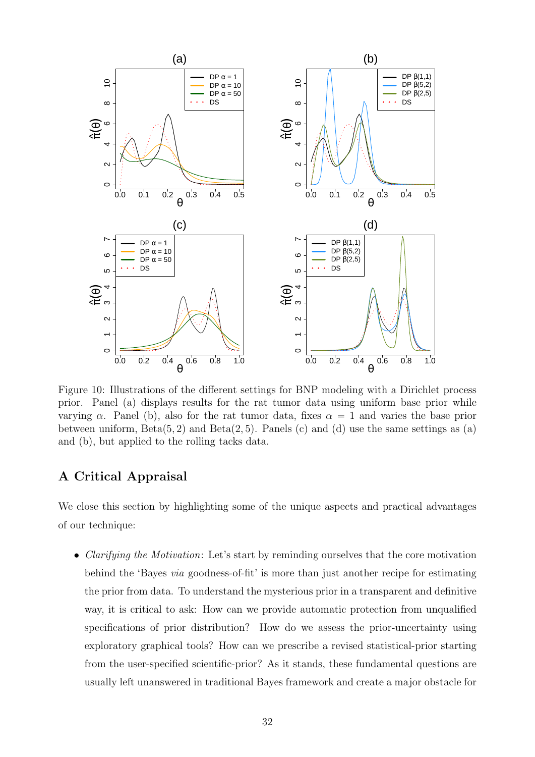

Figure 10: Illustrations of the different settings for BNP modeling with a Dirichlet process prior. Panel (a) displays results for the rat tumor data using uniform base prior while varying  $\alpha$ . Panel (b), also for the rat tumor data, fixes  $\alpha = 1$  and varies the base prior between uniform,  $Beta(5, 2)$  and  $Beta(2, 5)$ . Panels (c) and (d) use the same settings as (a) and (b), but applied to the rolling tacks data.

## A Critical Appraisal

We close this section by highlighting some of the unique aspects and practical advantages of our technique:

• *Clarifying the Motivation*: Let's start by reminding ourselves that the core motivation behind the 'Bayes via goodness-of-fit' is more than just another recipe for estimating the prior from data. To understand the mysterious prior in a transparent and definitive way, it is critical to ask: How can we provide automatic protection from unqualified specifications of prior distribution? How do we assess the prior-uncertainty using exploratory graphical tools? How can we prescribe a revised statistical-prior starting from the user-specified scientific-prior? As it stands, these fundamental questions are usually left unanswered in traditional Bayes framework and create a major obstacle for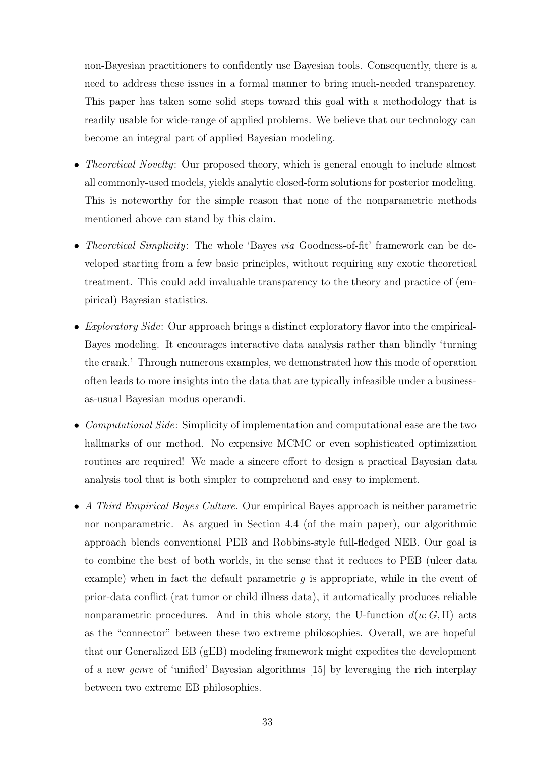non-Bayesian practitioners to confidently use Bayesian tools. Consequently, there is a need to address these issues in a formal manner to bring much-needed transparency. This paper has taken some solid steps toward this goal with a methodology that is readily usable for wide-range of applied problems. We believe that our technology can become an integral part of applied Bayesian modeling.

- *Theoretical Novelty:* Our proposed theory, which is general enough to include almost all commonly-used models, yields analytic closed-form solutions for posterior modeling. This is noteworthy for the simple reason that none of the nonparametric methods mentioned above can stand by this claim.
- *Theoretical Simplicity*: The whole 'Bayes *via* Goodness-of-fit' framework can be developed starting from a few basic principles, without requiring any exotic theoretical treatment. This could add invaluable transparency to the theory and practice of (empirical) Bayesian statistics.
- *Exploratory Side*: Our approach brings a distinct exploratory flavor into the empirical-Bayes modeling. It encourages interactive data analysis rather than blindly 'turning the crank.' Through numerous examples, we demonstrated how this mode of operation often leads to more insights into the data that are typically infeasible under a businessas-usual Bayesian modus operandi.
- Computational Side: Simplicity of implementation and computational ease are the two hallmarks of our method. No expensive MCMC or even sophisticated optimization routines are required! We made a sincere effort to design a practical Bayesian data analysis tool that is both simpler to comprehend and easy to implement.
- A Third Empirical Bayes Culture. Our empirical Bayes approach is neither parametric nor nonparametric. As argued in Section 4.4 (of the main paper), our algorithmic approach blends conventional PEB and Robbins-style full-fledged NEB. Our goal is to combine the best of both worlds, in the sense that it reduces to PEB (ulcer data example) when in fact the default parametric  $g$  is appropriate, while in the event of prior-data conflict (rat tumor or child illness data), it automatically produces reliable nonparametric procedures. And in this whole story, the U-function  $d(u; G, \Pi)$  acts as the "connector" between these two extreme philosophies. Overall, we are hopeful that our Generalized EB (gEB) modeling framework might expedites the development of a new genre of 'unified' Bayesian algorithms [15] by leveraging the rich interplay between two extreme EB philosophies.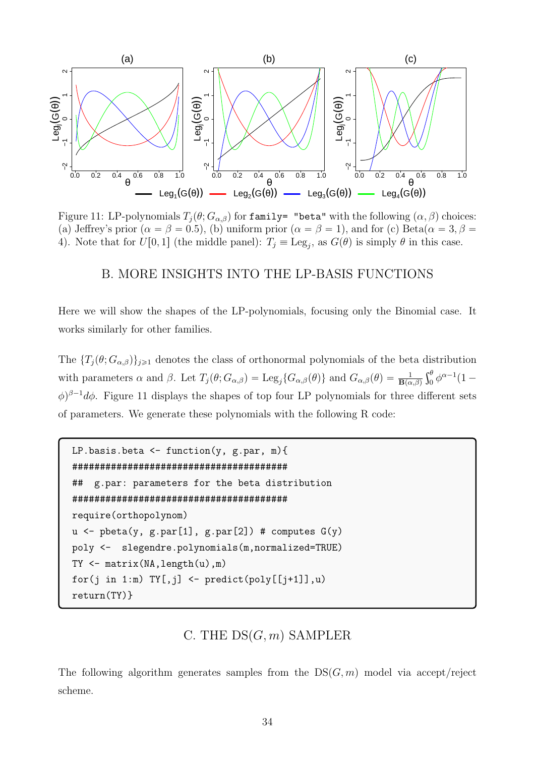

Figure 11: LP-polynomials  $T_j(\theta; G_{\alpha, \beta})$  for family= "beta" with the following  $(\alpha, \beta)$  choices: (a) Jeffrey's prior ( $\alpha = \beta = 0.5$ ), (b) uniform prior ( $\alpha = \beta = 1$ ), and for (c) Beta( $\alpha = 3, \beta =$ 4). Note that for  $U[0,1]$  (the middle panel):  $T_j \equiv \text{Leg}_j$ , as  $G(\theta)$  is simply  $\theta$  in this case.

### B. MORE INSIGHTS INTO THE LP-BASIS FUNCTIONS

Here we will show the shapes of the LP-polynomials, focusing only the Binomial case. It works similarly for other families.

The  $\{T_i(\theta; G_{\alpha,\beta})\}_{i\geq 1}$  denotes the class of orthonormal polynomials of the beta distribution with parameters  $\alpha$  and  $\beta$ . Let  $T_j(\theta; G_{\alpha,\beta}) = \text{Leg}_j\{G_{\alpha,\beta}(\theta)\}\$  and  $G_{\alpha,\beta}(\theta) = \frac{1}{\textbf{B}(\alpha,\beta)}$  $\frac{1}{\Gamma}$  $\int_0^{\theta} \phi^{\alpha-1}(1 \phi$ <sup> $\beta$ -1</sup>d $\phi$ . Figure 11 displays the shapes of top four LP polynomials for three different sets of parameters. We generate these polynomials with the following R code:

```
LP.basis.beta \leq function(y, g.par, m){
#######################################
## g.par: parameters for the beta distribution
#######################################
require(orthopolynom)
u \leftarrow \text{pbeta}(y, g.\text{par}[1], g.\text{par}[2]) # computes G(y)poly <- slegendre.polynomials(m,normalized=TRUE)
TY <- matrix(NA,length(u),m)
for(j in 1:m) TY[,j] <- predict(poly[[j+1]],u)
return(TY)}
```
## C. THE  $DS(G, m)$  SAMPLER

The following algorithm generates samples from the  $DS(G, m)$  model via accept/reject scheme.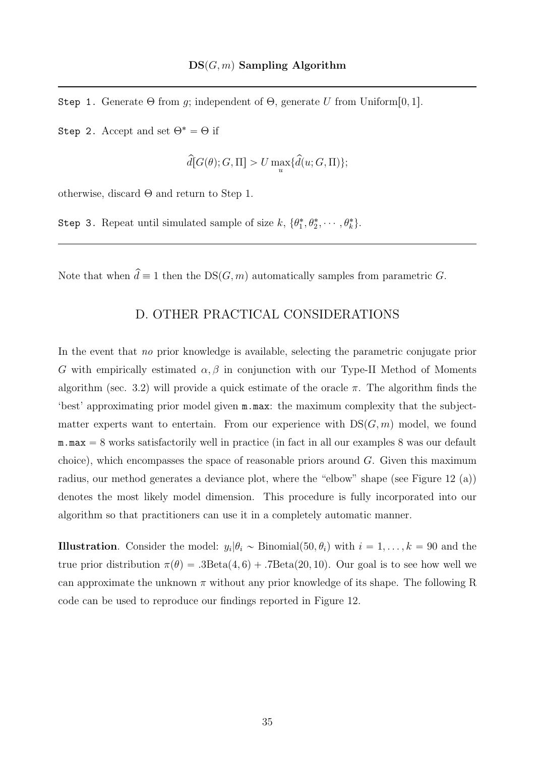Step 1. Generate Θ from g; independent of Θ, generate U from Uniform[0, 1].

Step 2. Accept and set  $\Theta^* = \Theta$  if

$$
\widehat{d}[G(\theta); G, \Pi] > U \max_{u} \{ \widehat{d}(u; G, \Pi) \};
$$

otherwise, discard Θ and return to Step 1.

Step 3. Repeat until simulated sample of size  $k, \{\theta_1^*, \theta_2^*, \cdots, \theta_k^*\}.$ 

Note that when  $\hat{d} \equiv 1$  then the  $DS(G, m)$  automatically samples from parametric G.

### D. OTHER PRACTICAL CONSIDERATIONS

In the event that no prior knowledge is available, selecting the parametric conjugate prior G with empirically estimated  $\alpha, \beta$  in conjunction with our Type-II Method of Moments algorithm (sec. 3.2) will provide a quick estimate of the oracle  $\pi$ . The algorithm finds the 'best' approximating prior model given m.max: the maximum complexity that the subjectmatter experts want to entertain. From our experience with  $DS(G, m)$  model, we found  $m.max = 8$  works satisfactorily well in practice (in fact in all our examples 8 was our default choice), which encompasses the space of reasonable priors around  $G$ . Given this maximum radius, our method generates a deviance plot, where the "elbow" shape (see Figure 12 (a)) denotes the most likely model dimension. This procedure is fully incorporated into our algorithm so that practitioners can use it in a completely automatic manner.

**Illustration**. Consider the model:  $y_i | \theta_i \sim \text{Binomial}(50, \theta_i)$  with  $i = 1, ..., k = 90$  and the true prior distribution  $\pi(\theta) = .3 \text{Beta}(4, 6) + .7 \text{Beta}(20, 10)$ . Our goal is to see how well we can approximate the unknown  $\pi$  without any prior knowledge of its shape. The following R code can be used to reproduce our findings reported in Figure 12.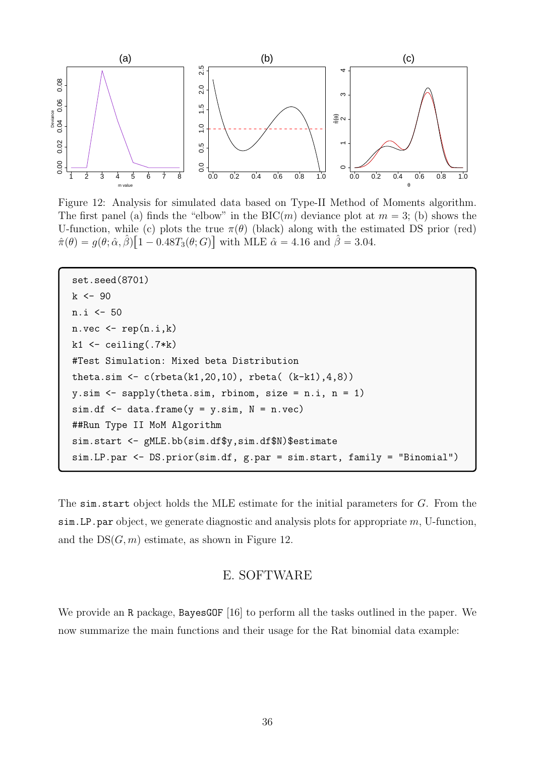

Figure 12: Analysis for simulated data based on Type-II Method of Moments algorithm. The first panel (a) finds the "elbow" in the BIC(m) deviance plot at  $m = 3$ ; (b) shows the U-function, while (c) plots the true  $\pi(\theta)$  (black) along with the estimated DS prior (red)  $\hat{\pi}(\theta) = g(\theta; \hat{\alpha}, \hat{\beta}) \left[1 - 0.48T_3(\theta; G)\right]$  with MLE  $\hat{\alpha} = 4.16$  and  $\hat{\beta} = 3.04$ .

set.seed(8701)  $k < -90$  $n.i$  <- 50  $n.$ vec  $\leftarrow$  rep $(n.i,k)$  $k1 \leftarrow \text{ceiling}(.7*k)$ #Test Simulation: Mixed beta Distribution theta.sim  $\leq c$  (rbeta(k1,20,10), rbeta(  $(k-k1)$ ,4,8)) y.sim  $\leq$  sapply(theta.sim, rbinom, size = n.i, n = 1)  $sim.df \leftarrow data.frame(y = y.sim, N = n.vec)$ ##Run Type II MoM Algorithm sim.start <- gMLE.bb(sim.df\$y,sim.df\$N)\$estimate sim.LP.par <- DS.prior(sim.df, g.par = sim.start, family = "Binomial")

The sim. start object holds the MLE estimate for the initial parameters for  $G$ . From the  $\sin$ . LP. par object, we generate diagnostic and analysis plots for appropriate m, U-function, and the  $DS(G, m)$  estimate, as shown in Figure 12.

### E. SOFTWARE

We provide an R package, BayesGOF [16] to perform all the tasks outlined in the paper. We now summarize the main functions and their usage for the Rat binomial data example: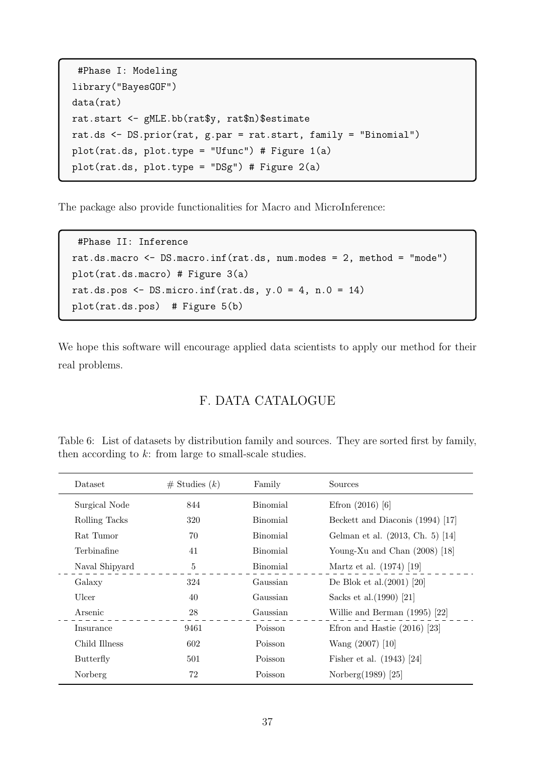```
#Phase I: Modeling
library("BayesGOF")
data(rat)
rat.start <- gMLE.bb(rat$y, rat$n)$estimate
rat.ds <- DS.prior(rat, g.par = rat.start, family = "Binomial")
plot(rat.ds, plot_type = "Ufunc") # Figure 1(a)plot(rat.ds, plot.type = "DSg") # Figure 2(a)
```
The package also provide functionalities for Macro and MicroInference:

```
#Phase II: Inference
rat.ds.macro <- DS.macro.inf(rat.ds, num.modes = 2, method = "mode")
plot(rat.ds.macro) # Figure 3(a)
rat.ds.pos \leq DS.micro.inf(rat.ds, y.0 = 4, n.0 = 14)
plot(rat.ds.pos) # Figure 5(b)
```
We hope this software will encourage applied data scientists to apply our method for their real problems.

## F. DATA CATALOGUE

Table 6: List of datasets by distribution family and sources. They are sorted first by family, then according to k: from large to small-scale studies.

| Dataset        | $#$ Studies $(k)$ | Family          | Sources                           |
|----------------|-------------------|-----------------|-----------------------------------|
| Surgical Node  | 844               | <b>Binomial</b> | Efron $(2016)$ [6]                |
| Rolling Tacks  | 320               | Binomial        | Beckett and Diaconis (1994) [17]  |
| Rat Tumor      | 70                | <b>Binomial</b> | Gelman et al. (2013, Ch. 5) [14]  |
| Terbinafine    | 41                | <b>Binomial</b> | Young-Xu and Chan $(2008)$ [18]   |
| Naval Shipyard | 5                 | <b>Binomial</b> | Martz et al. (1974) [19]          |
| Galaxy         | 324               | Gaussian        | De Blok et al. $(2001)$ [20]      |
| Ulcer          | 40                | Gaussian        | Sacks et al. $(1990)$ [21]        |
| Arsenic        | 28                | Gaussian        | Willie and Berman $(1995)$ $[22]$ |
| Insurance      | 9461              | Poisson         | Efron and Hastie $(2016)$ [23]    |
| Child Illness  | 602               | Poisson         | Wang (2007) [10]                  |
| Butterfly      | 501               | Poisson         | Fisher et al. $(1943)$ [24]       |
| Norberg        | 72                | Poisson         | Norberg(1989) [25]                |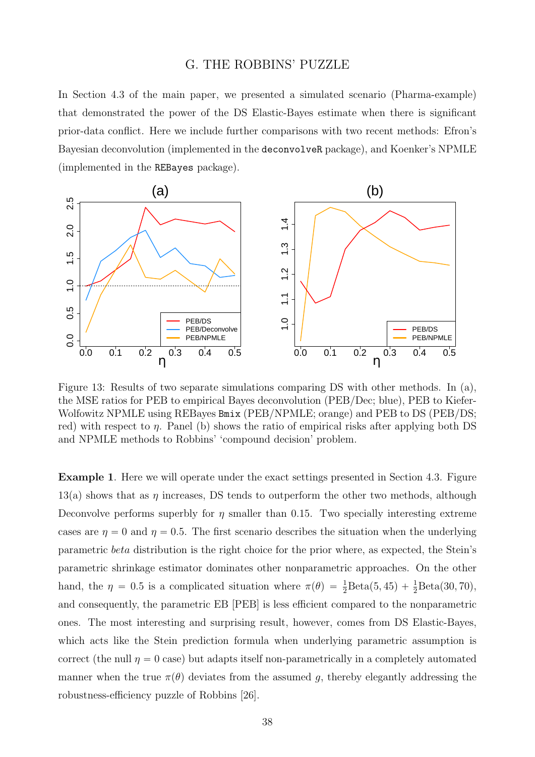### G. THE ROBBINS' PUZZLE

In Section 4.3 of the main paper, we presented a simulated scenario (Pharma-example) that demonstrated the power of the DS Elastic-Bayes estimate when there is significant prior-data conflict. Here we include further comparisons with two recent methods: Efron's Bayesian deconvolution (implemented in the deconvolveR package), and Koenker's NPMLE (implemented in the REBayes package).



Figure 13: Results of two separate simulations comparing DS with other methods. In (a), the MSE ratios for PEB to empirical Bayes deconvolution (PEB/Dec; blue), PEB to Kiefer-Wolfowitz NPMLE using REBayes Bmix (PEB/NPMLE; orange) and PEB to DS (PEB/DS; red) with respect to  $\eta$ . Panel (b) shows the ratio of empirical risks after applying both DS and NPMLE methods to Robbins' 'compound decision' problem.

Example 1. Here we will operate under the exact settings presented in Section 4.3. Figure 13(a) shows that as  $\eta$  increases, DS tends to outperform the other two methods, although Deconvolve performs superbly for  $\eta$  smaller than 0.15. Two specially interesting extreme cases are  $\eta = 0$  and  $\eta = 0.5$ . The first scenario describes the situation when the underlying parametric beta distribution is the right choice for the prior where, as expected, the Stein's parametric shrinkage estimator dominates other nonparametric approaches. On the other hand, the  $\eta = 0.5$  is a complicated situation where  $\pi(\theta) = \frac{1}{2} \text{Beta}(5, 45) + \frac{1}{2} \text{Beta}(30, 70)$ , and consequently, the parametric EB [PEB] is less efficient compared to the nonparametric ones. The most interesting and surprising result, however, comes from DS Elastic-Bayes, which acts like the Stein prediction formula when underlying parametric assumption is correct (the null  $\eta = 0$  case) but adapts itself non-parametrically in a completely automated manner when the true  $\pi(\theta)$  deviates from the assumed g, thereby elegantly addressing the robustness-efficiency puzzle of Robbins [26].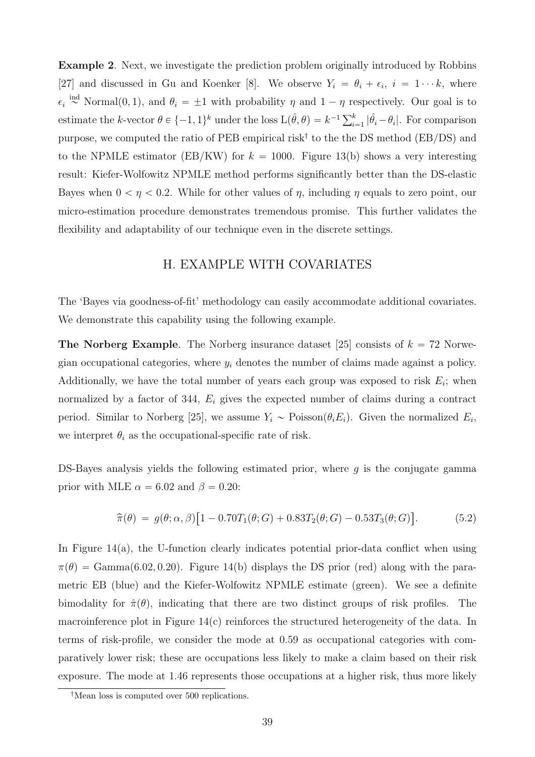Example 2. Next, we investigate the prediction problem originally introduced by Robbins [27] and discussed in Gu and Koenker [8]. We observe  $Y_i = \theta_i + \epsilon_i$ ,  $i = 1 \cdots k$ , where  $\epsilon_i \stackrel{\text{ind}}{\sim}$  Normal $(0, 1)$ , and  $\theta_i = \pm 1$  with probability  $\eta$  and  $1 - \eta$  respectively. Our goal is to estimate the k-vector  $\theta \in \{-1, 1\}^k$  under the loss  $\mathcal{L}(\hat{\theta}, \theta) = k^{-1} \sum_{i=1}^k |\hat{\theta}_i - \theta_i|$ . For comparison purpose, we computed the ratio of PEB empirical risk† to the the DS method (EB/DS) and to the NPMLE estimator (EB/KW) for  $k = 1000$ . Figure 13(b) shows a very interesting result: Kiefer-Wolfowitz NPMLE method performs significantly better than the DS-elastic Bayes when  $0 < \eta < 0.2$ . While for other values of  $\eta$ , including  $\eta$  equals to zero point, our micro-estimation procedure demonstrates tremendous promise. This further validates the flexibility and adaptability of our technique even in the discrete settings.

### H. EXAMPLE WITH COVARIATES

The 'Bayes via goodness-of-fit' methodology can easily accommodate additional covariates. We demonstrate this capability using the following example.

**The Norberg Example.** The Norberg insurance dataset [25] consists of  $k = 72$  Norwegian occupational categories, where  $y_i$  denotes the number of claims made against a policy. Additionally, we have the total number of years each group was exposed to risk  $E_i$ ; when normalized by a factor of 344,  $E_i$  gives the expected number of claims during a contract period. Similar to Norberg [25], we assume  $Y_i \sim \text{Poisson}(\theta_i E_i)$ . Given the normalized  $E_i$ , we interpret  $\theta_i$  as the occupational-specific rate of risk.

DS-Bayes analysis yields the following estimated prior, where  $q$  is the conjugate gamma prior with MLE  $\alpha = 6.02$  and  $\beta = 0.20$ :

$$
\hat{\pi}(\theta) = g(\theta; \alpha, \beta) [1 - 0.70T_1(\theta; G) + 0.83T_2(\theta; G) - 0.53T_3(\theta; G)].
$$
\n(5.2)

In Figure 14(a), the U-function clearly indicates potential prior-data conflict when using  $\pi(\theta) = \text{Gamma}(6.02, 0.20)$ . Figure 14(b) displays the DS prior (red) along with the parametric EB (blue) and the Kiefer-Wolfowitz NPMLE estimate (green). We see a definite bimodality for  $\hat{\pi}(\theta)$ , indicating that there are two distinct groups of risk profiles. The macroinference plot in Figure 14(c) reinforces the structured heterogeneity of the data. In terms of risk-profile, we consider the mode at 0.59 as occupational categories with comparatively lower risk; these are occupations less likely to make a claim based on their risk exposure. The mode at 1.46 represents those occupations at a higher risk, thus more likely

<sup>†</sup>Mean loss is computed over 500 replications.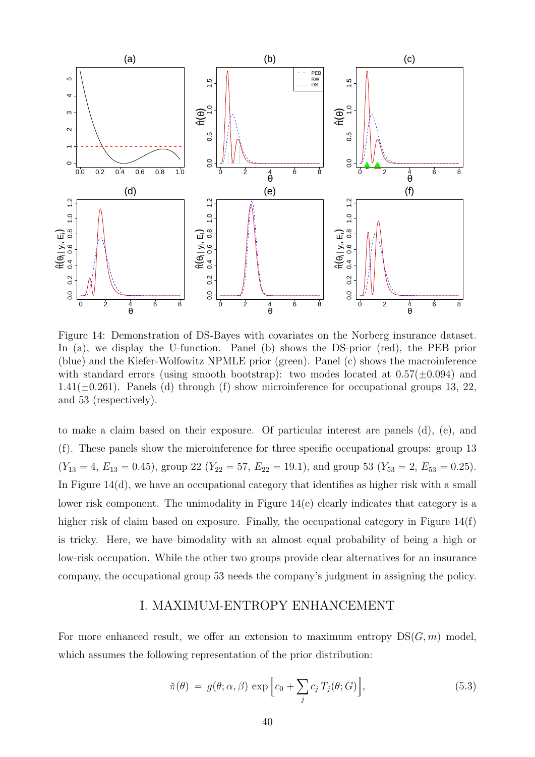

Figure 14: Demonstration of DS-Bayes with covariates on the Norberg insurance dataset. In (a), we display the U-function. Panel (b) shows the DS-prior (red), the PEB prior (blue) and the Kiefer-Wolfowitz NPMLE prior (green). Panel (c) shows the macroinference with standard errors (using smooth bootstrap): two modes located at  $0.57(\pm 0.094)$  and  $1.41(\pm 0.261)$ . Panels (d) through (f) show microinference for occupational groups 13, 22, and 53 (respectively).

to make a claim based on their exposure. Of particular interest are panels (d), (e), and (f). These panels show the microinference for three specific occupational groups: group 13  $(Y_{13} = 4, E_{13} = 0.45)$ , group 22  $(Y_{22} = 57, E_{22} = 19.1)$ , and group 53  $(Y_{53} = 2, E_{53} = 0.25)$ . In Figure 14(d), we have an occupational category that identifies as higher risk with a small lower risk component. The unimodality in Figure 14(e) clearly indicates that category is a higher risk of claim based on exposure. Finally, the occupational category in Figure 14(f) is tricky. Here, we have bimodality with an almost equal probability of being a high or low-risk occupation. While the other two groups provide clear alternatives for an insurance company, the occupational group 53 needs the company's judgment in assigning the policy.

### I. MAXIMUM-ENTROPY ENHANCEMENT

For more enhanced result, we offer an extension to maximum entropy  $DS(G, m)$  model, which assumes the following representation of the prior distribution:

$$
\breve{\pi}(\theta) = g(\theta; \alpha, \beta) \exp\left[c_0 + \sum_j c_j T_j(\theta; G)\right],
$$
\n(5.3)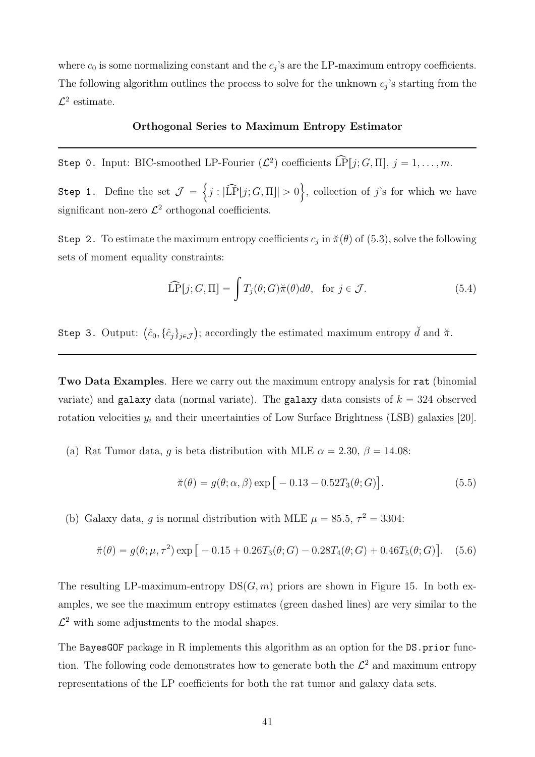where  $c_0$  is some normalizing constant and the  $c_j$ 's are the LP-maximum entropy coefficients. The following algorithm outlines the process to solve for the unknown  $c_j$ 's starting from the  $\mathcal{L}^2$  estimate.

#### Orthogonal Series to Maximum Entropy Estimator

Step 0. Input: BIC-smoothed LP-Fourier  $(\mathcal{L}^2)$  coefficients  $\widehat{\operatorname{LP}}[j;G,\Pi],$   $j=1,\ldots,m.$ 

**1980** 

Step 1. Define the set  $\mathcal{J} =$  $j : |\widehat{\text{LP}}[j; G, \Pi]| > 0$ , collection of  $j$ 's for which we have significant non-zero  $\mathcal{L}^2$  orthogonal coefficients.

)

Step 2. To estimate the maximum entropy coefficients  $c_j$  in  $\breve{\pi}(\theta)$  of (5.3), solve the following sets of moment equality constraints:

$$
\widehat{\text{LP}}[j; G, \Pi] = \int T_j(\theta; G) \breve{\pi}(\theta) d\theta, \text{ for } j \in \mathcal{J}.
$$
 (5.4)

Step 3. Output:  $(\hat{c}_0, \{\hat{c}_j\}_{j\in\mathcal{J}})$ ; accordingly the estimated maximum entropy  $\check{d}$  and  $\check{\pi}$ .

Two Data Examples. Here we carry out the maximum entropy analysis for rat (binomial variate) and galaxy data (normal variate). The galaxy data consists of  $k = 324$  observed rotation velocities  $y_i$  and their uncertainties of Low Surface Brightness (LSB) galaxies [20].

(a) Rat Tumor data, q is beta distribution with MLE  $\alpha = 2.30, \beta = 14.08$ :

$$
\breve{\pi}(\theta) = g(\theta; \alpha, \beta) \exp\left[-0.13 - 0.52T_3(\theta; G)\right].
$$
\n(5.5)

(b) Galaxy data, g is normal distribution with MLE  $\mu = 85.5, \tau^2 = 3304$ :

$$
\tilde{\pi}(\theta) = g(\theta; \mu, \tau^2) \exp\left[-0.15 + 0.26T_3(\theta; G) - 0.28T_4(\theta; G) + 0.46T_5(\theta; G)\right].
$$
 (5.6)

The resulting LP-maximum-entropy  $DS(G, m)$  priors are shown in Figure 15. In both examples, we see the maximum entropy estimates (green dashed lines) are very similar to the  $\mathcal{L}^2$  with some adjustments to the modal shapes.

The BayesGOF package in R implements this algorithm as an option for the DS.prior function. The following code demonstrates how to generate both the  $\mathcal{L}^2$  and maximum entropy representations of the LP coefficients for both the rat tumor and galaxy data sets.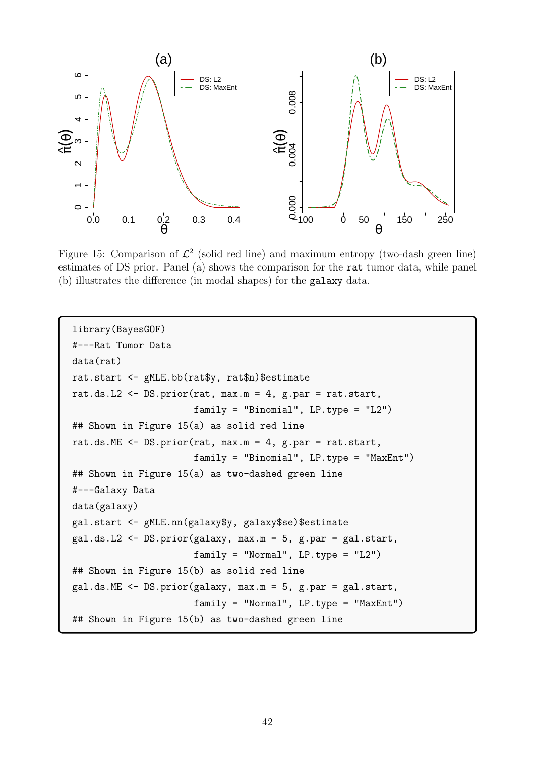

Figure 15: Comparison of  $\mathcal{L}^2$  (solid red line) and maximum entropy (two-dash green line) estimates of DS prior. Panel (a) shows the comparison for the rat tumor data, while panel (b) illustrates the difference (in modal shapes) for the galaxy data.

```
library(BayesGOF)
#---Rat Tumor Data
data(rat)
rat.start <- gMLE.bb(rat$y, rat$n)$estimate
rat.ds.L2 <- DS.prior(rat, max.m = 4, g.par = rat.start,
                      family = "Binomial", LP.type = "L2")
## Shown in Figure 15(a) as solid red line
rat.ds.ME <- DS.prior(rat, max.m = 4, g.par = rat.start,
                      family = "Binomial", LP.type = "MaxEnt")
## Shown in Figure 15(a) as two-dashed green line
#---Galaxy Data
data(galaxy)
gal.start <- gMLE.nn(galaxy$y, galaxy$se)$estimate
gal.ds.L2 <- DS.prior(galaxy, max.m = 5, g.par = gal.start,
                      family = "Normal", LP.type = "L2")
## Shown in Figure 15(b) as solid red line
gal.ds.ME <- DS.prior(galaxy, max.m = 5, g.par = gal.start,
                      family = "Normal", LP.type = "MaxEnt")
## Shown in Figure 15(b) as two-dashed green line
```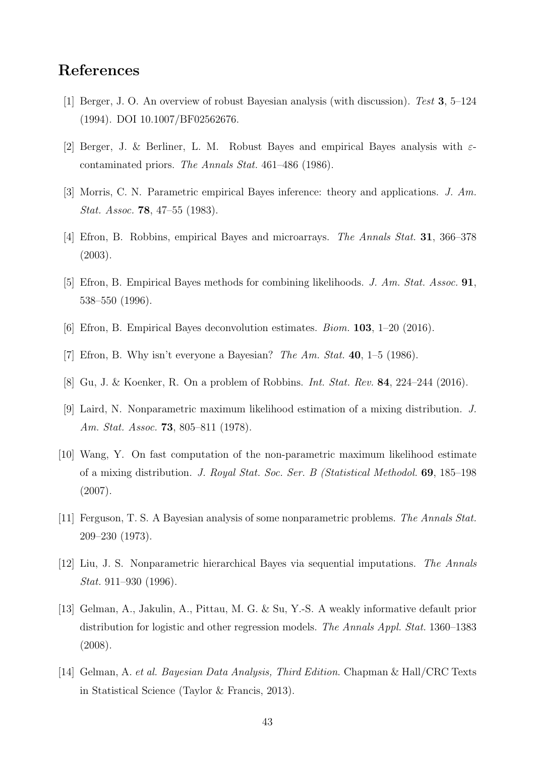# References

- [1] Berger, J. O. An overview of robust Bayesian analysis (with discussion). Test 3, 5–124 (1994). DOI 10.1007/BF02562676.
- [2] Berger, J. & Berliner, L. M. Robust Bayes and empirical Bayes analysis with  $\varepsilon$ contaminated priors. The Annals Stat. 461–486 (1986).
- [3] Morris, C. N. Parametric empirical Bayes inference: theory and applications. J. Am. Stat. Assoc. 78, 47–55 (1983).
- [4] Efron, B. Robbins, empirical Bayes and microarrays. The Annals Stat. 31, 366–378 (2003).
- [5] Efron, B. Empirical Bayes methods for combining likelihoods. J. Am. Stat. Assoc. 91, 538–550 (1996).
- [6] Efron, B. Empirical Bayes deconvolution estimates. Biom. 103, 1–20 (2016).
- [7] Efron, B. Why isn't everyone a Bayesian? The Am. Stat.  $40$ ,  $1-5$  (1986).
- [8] Gu, J. & Koenker, R. On a problem of Robbins. Int. Stat. Rev. 84, 224–244 (2016).
- [9] Laird, N. Nonparametric maximum likelihood estimation of a mixing distribution. J. Am. Stat. Assoc. **73**, 805-811 (1978).
- [10] Wang, Y. On fast computation of the non-parametric maximum likelihood estimate of a mixing distribution. J. Royal Stat. Soc. Ser. B (Statistical Methodol. 69, 185–198 (2007).
- [11] Ferguson, T. S. A Bayesian analysis of some nonparametric problems. The Annals Stat. 209–230 (1973).
- [12] Liu, J. S. Nonparametric hierarchical Bayes via sequential imputations. The Annals Stat. 911–930 (1996).
- [13] Gelman, A., Jakulin, A., Pittau, M. G. & Su, Y.-S. A weakly informative default prior distribution for logistic and other regression models. The Annals Appl. Stat. 1360–1383 (2008).
- [14] Gelman, A. et al. Bayesian Data Analysis, Third Edition. Chapman & Hall/CRC Texts in Statistical Science (Taylor & Francis, 2013).